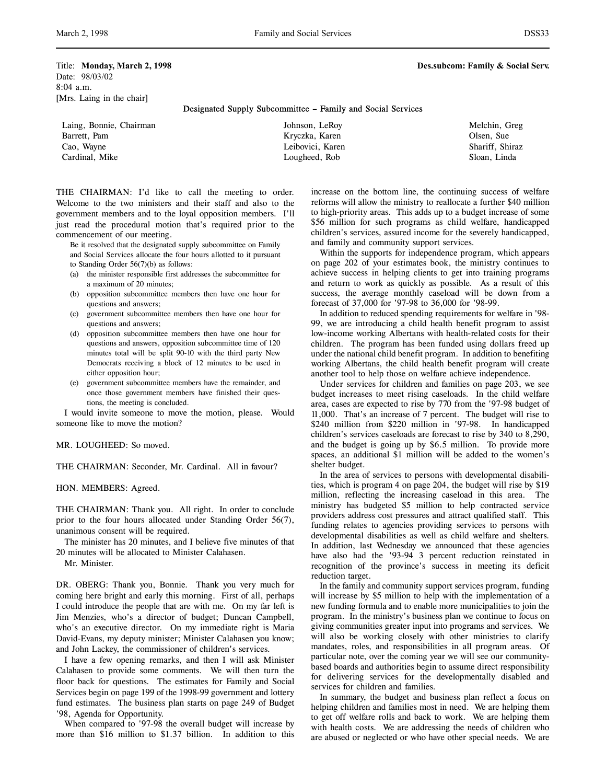Date: 98/03/02 8:04 a.m. [Mrs. Laing in the chair]

# Designated Supply Subcommittee – Family and Social Services

| Laing, Bonnie, Chairman | Johnson, LeRoy   | Melchin, Greg   |
|-------------------------|------------------|-----------------|
| Barrett, Pam            | Kryczka, Karen   | Olsen, Sue      |
| Cao, Wayne              | Leibovici, Karen | Shariff, Shiraz |
| Cardinal, Mike          | Lougheed, Rob    | Sloan, Linda    |

THE CHAIRMAN: I'd like to call the meeting to order. Welcome to the two ministers and their staff and also to the government members and to the loyal opposition members. I'll just read the procedural motion that's required prior to the commencement of our meeting.

Be it resolved that the designated supply subcommittee on Family and Social Services allocate the four hours allotted to it pursuant to Standing Order 56(7)(b) as follows:

- (a) the minister responsible first addresses the subcommittee for a maximum of 20 minutes;
- (b) opposition subcommittee members then have one hour for questions and answers;
- (c) government subcommittee members then have one hour for questions and answers;
- (d) opposition subcommittee members then have one hour for questions and answers, opposition subcommittee time of 120 minutes total will be split 90-10 with the third party New Democrats receiving a block of 12 minutes to be used in either opposition hour;
- (e) government subcommittee members have the remainder, and once those government members have finished their questions, the meeting is concluded.

I would invite someone to move the motion, please. Would someone like to move the motion?

### MR. LOUGHEED: So moved.

THE CHAIRMAN: Seconder, Mr. Cardinal. All in favour?

HON. MEMBERS: Agreed.

THE CHAIRMAN: Thank you. All right. In order to conclude prior to the four hours allocated under Standing Order 56(7), unanimous consent will be required.

The minister has 20 minutes, and I believe five minutes of that 20 minutes will be allocated to Minister Calahasen.

Mr. Minister.

DR. OBERG: Thank you, Bonnie. Thank you very much for coming here bright and early this morning. First of all, perhaps I could introduce the people that are with me. On my far left is Jim Menzies, who's a director of budget; Duncan Campbell, who's an executive director. On my immediate right is Maria David-Evans, my deputy minister; Minister Calahasen you know; and John Lackey, the commissioner of children's services.

I have a few opening remarks, and then I will ask Minister Calahasen to provide some comments. We will then turn the floor back for questions. The estimates for Family and Social Services begin on page 199 of the 1998-99 government and lottery fund estimates. The business plan starts on page 249 of Budget '98, Agenda for Opportunity.

When compared to '97-98 the overall budget will increase by more than \$16 million to \$1.37 billion. In addition to this increase on the bottom line, the continuing success of welfare reforms will allow the ministry to reallocate a further \$40 million to high-priority areas. This adds up to a budget increase of some \$56 million for such programs as child welfare, handicapped children's services, assured income for the severely handicapped, and family and community support services.

Within the supports for independence program, which appears on page 202 of your estimates book, the ministry continues to achieve success in helping clients to get into training programs and return to work as quickly as possible. As a result of this success, the average monthly caseload will be down from a forecast of 37,000 for '97-98 to 36,000 for '98-99.

In addition to reduced spending requirements for welfare in '98- 99, we are introducing a child health benefit program to assist low-income working Albertans with health-related costs for their children. The program has been funded using dollars freed up under the national child benefit program. In addition to benefiting working Albertans, the child health benefit program will create another tool to help those on welfare achieve independence.

Under services for children and families on page 203, we see budget increases to meet rising caseloads. In the child welfare area, cases are expected to rise by 770 from the '97-98 budget of 11,000. That's an increase of 7 percent. The budget will rise to \$240 million from \$220 million in '97-98. In handicapped children's services caseloads are forecast to rise by 340 to 8,290, and the budget is going up by \$6.5 million. To provide more spaces, an additional \$1 million will be added to the women's shelter budget.

In the area of services to persons with developmental disabilities, which is program 4 on page 204, the budget will rise by \$19 million, reflecting the increasing caseload in this area. The ministry has budgeted \$5 million to help contracted service providers address cost pressures and attract qualified staff. This funding relates to agencies providing services to persons with developmental disabilities as well as child welfare and shelters. In addition, last Wednesday we announced that these agencies have also had the '93-94 3 percent reduction reinstated in recognition of the province's success in meeting its deficit reduction target.

In the family and community support services program, funding will increase by \$5 million to help with the implementation of a new funding formula and to enable more municipalities to join the program. In the ministry's business plan we continue to focus on giving communities greater input into programs and services. We will also be working closely with other ministries to clarify mandates, roles, and responsibilities in all program areas. Of particular note, over the coming year we will see our communitybased boards and authorities begin to assume direct responsibility for delivering services for the developmentally disabled and services for children and families.

In summary, the budget and business plan reflect a focus on helping children and families most in need. We are helping them to get off welfare rolls and back to work. We are helping them with health costs. We are addressing the needs of children who are abused or neglected or who have other special needs. We are

Title: **Monday, March 2, 1998 Designed 2, 1998 Designed 2, 1998 Designed 2, 1998 Designed 2, 1998**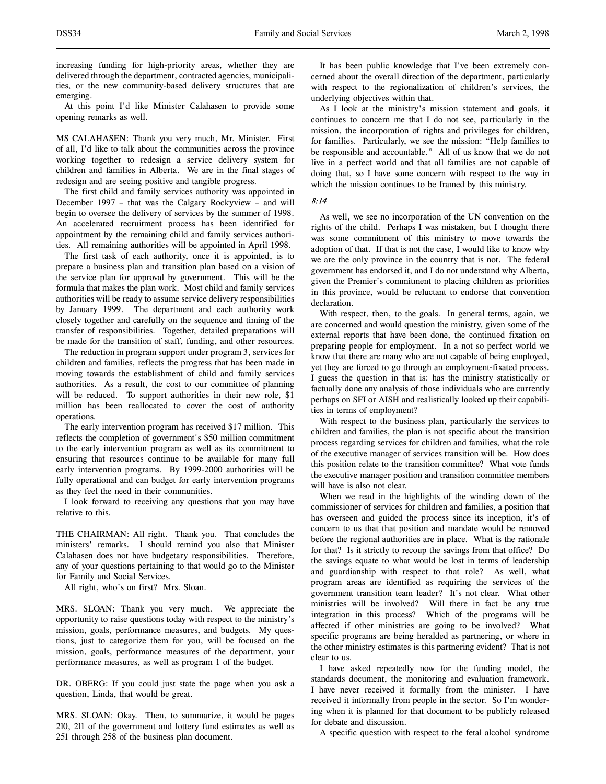At this point I'd like Minister Calahasen to provide some opening remarks as well.

MS CALAHASEN: Thank you very much, Mr. Minister. First of all, I'd like to talk about the communities across the province working together to redesign a service delivery system for children and families in Alberta. We are in the final stages of redesign and are seeing positive and tangible progress.

The first child and family services authority was appointed in December 1997 – that was the Calgary Rockyview – and will begin to oversee the delivery of services by the summer of 1998. An accelerated recruitment process has been identified for appointment by the remaining child and family services authorities. All remaining authorities will be appointed in April 1998.

The first task of each authority, once it is appointed, is to prepare a business plan and transition plan based on a vision of the service plan for approval by government. This will be the formula that makes the plan work. Most child and family services authorities will be ready to assume service delivery responsibilities by January 1999. The department and each authority work closely together and carefully on the sequence and timing of the transfer of responsibilities. Together, detailed preparations will be made for the transition of staff, funding, and other resources.

The reduction in program support under program 3, services for children and families, reflects the progress that has been made in moving towards the establishment of child and family services authorities. As a result, the cost to our committee of planning will be reduced. To support authorities in their new role, \$1 million has been reallocated to cover the cost of authority operations.

The early intervention program has received \$17 million. This reflects the completion of government's \$50 million commitment to the early intervention program as well as its commitment to ensuring that resources continue to be available for many full early intervention programs. By 1999-2000 authorities will be fully operational and can budget for early intervention programs as they feel the need in their communities.

I look forward to receiving any questions that you may have relative to this.

THE CHAIRMAN: All right. Thank you. That concludes the ministers' remarks. I should remind you also that Minister Calahasen does not have budgetary responsibilities. Therefore, any of your questions pertaining to that would go to the Minister for Family and Social Services.

All right, who's on first? Mrs. Sloan.

MRS. SLOAN: Thank you very much. We appreciate the opportunity to raise questions today with respect to the ministry's mission, goals, performance measures, and budgets. My questions, just to categorize them for you, will be focused on the mission, goals, performance measures of the department, your performance measures, as well as program 1 of the budget.

DR. OBERG: If you could just state the page when you ask a question, Linda, that would be great.

MRS. SLOAN: Okay. Then, to summarize, it would be pages 210, 211 of the government and lottery fund estimates as well as 251 through 258 of the business plan document.

It has been public knowledge that I've been extremely concerned about the overall direction of the department, particularly with respect to the regionalization of children's services, the underlying objectives within that.

As I look at the ministry's mission statement and goals, it continues to concern me that I do not see, particularly in the mission, the incorporation of rights and privileges for children, for families. Particularly, we see the mission: "Help families to be responsible and accountable." All of us know that we do not live in a perfect world and that all families are not capable of doing that, so I have some concern with respect to the way in which the mission continues to be framed by this ministry.

8:14

As well, we see no incorporation of the UN convention on the rights of the child. Perhaps I was mistaken, but I thought there was some commitment of this ministry to move towards the adoption of that. If that is not the case, I would like to know why we are the only province in the country that is not. The federal government has endorsed it, and I do not understand why Alberta, given the Premier's commitment to placing children as priorities in this province, would be reluctant to endorse that convention declaration.

With respect, then, to the goals. In general terms, again, we are concerned and would question the ministry, given some of the external reports that have been done, the continued fixation on preparing people for employment. In a not so perfect world we know that there are many who are not capable of being employed, yet they are forced to go through an employment-fixated process. I guess the question in that is: has the ministry statistically or factually done any analysis of those individuals who are currently perhaps on SFI or AISH and realistically looked up their capabilities in terms of employment?

With respect to the business plan, particularly the services to children and families, the plan is not specific about the transition process regarding services for children and families, what the role of the executive manager of services transition will be. How does this position relate to the transition committee? What vote funds the executive manager position and transition committee members will have is also not clear.

When we read in the highlights of the winding down of the commissioner of services for children and families, a position that has overseen and guided the process since its inception, it's of concern to us that that position and mandate would be removed before the regional authorities are in place. What is the rationale for that? Is it strictly to recoup the savings from that office? Do the savings equate to what would be lost in terms of leadership and guardianship with respect to that role? As well, what program areas are identified as requiring the services of the government transition team leader? It's not clear. What other ministries will be involved? Will there in fact be any true integration in this process? Which of the programs will be affected if other ministries are going to be involved? What specific programs are being heralded as partnering, or where in the other ministry estimates is this partnering evident? That is not clear to us.

I have asked repeatedly now for the funding model, the standards document, the monitoring and evaluation framework. I have never received it formally from the minister. I have received it informally from people in the sector. So I'm wondering when it is planned for that document to be publicly released for debate and discussion.

A specific question with respect to the fetal alcohol syndrome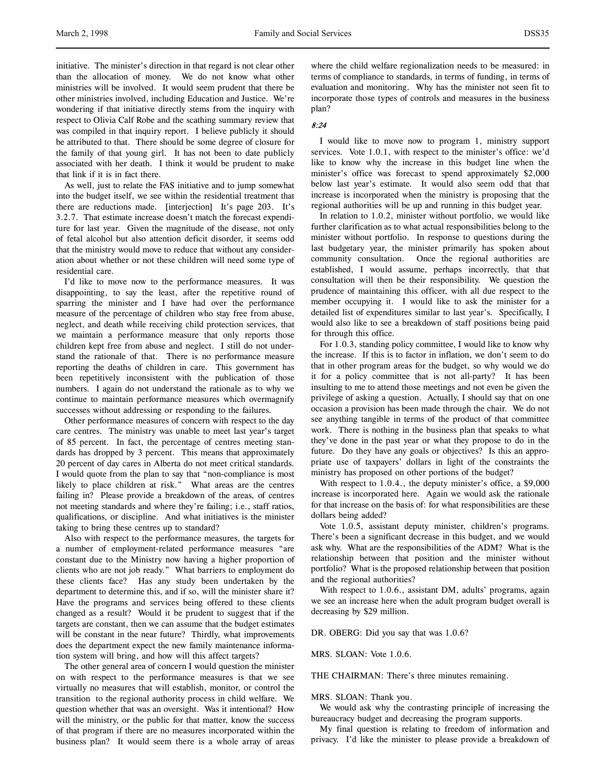initiative. The minister's direction in that regard is not clear other than the allocation of money. We do not know what other ministries will be involved. It would seem prudent that there be other ministries involved, including Education and Justice. We're wondering if that initiative directly stems from the inquiry with respect to Olivia Calf Robe and the scathing summary review that was compiled in that inquiry report. I believe publicly it should be attributed to that. There should be some degree of closure for the family of that young girl. It has not been to date publicly associated with her death. I think it would be prudent to make that link if it is in fact there.

As well, just to relate the FAS initiative and to jump somewhat into the budget itself, we see within the residential treatment that there are reductions made. [interjection] It's page 203. It's 3.2.7. That estimate increase doesn't match the forecast expenditure for last year. Given the magnitude of the disease, not only of fetal alcohol but also attention deficit disorder, it seems odd that the ministry would move to reduce that without any consideration about whether or not these children will need some type of residential care.

I'd like to move now to the performance measures. It was disappointing, to say the least, after the repetitive round of sparring the minister and I have had over the performance measure of the percentage of children who stay free from abuse, neglect, and death while receiving child protection services, that we maintain a performance measure that only reports those children kept free from abuse and neglect. I still do not understand the rationale of that. There is no performance measure reporting the deaths of children in care. This government has been repetitively inconsistent with the publication of those numbers. I again do not understand the rationale as to why we continue to maintain performance measures which overmagnify successes without addressing or responding to the failures.

Other performance measures of concern with respect to the day care centres. The ministry was unable to meet last year's target of 85 percent. In fact, the percentage of centres meeting standards has dropped by 3 percent. This means that approximately 20 percent of day cares in Alberta do not meet critical standards. I would quote from the plan to say that "non-compliance is most likely to place children at risk." What areas are the centres failing in? Please provide a breakdown of the areas, of centres not meeting standards and where they're failing; i.e., staff ratios, qualifications, or discipline. And what initiatives is the minister taking to bring these centres up to standard?

Also with respect to the performance measures, the targets for a number of employment-related performance measures "are constant due to the Ministry now having a higher proportion of clients who are not job ready." What barriers to employment do these clients face? Has any study been undertaken by the department to determine this, and if so, will the minister share it? Have the programs and services being offered to these clients changed as a result? Would it be prudent to suggest that if the targets are constant, then we can assume that the budget estimates will be constant in the near future? Thirdly, what improvements does the department expect the new family maintenance information system will bring, and how will this affect targets?

The other general area of concern I would question the minister on with respect to the performance measures is that we see virtually no measures that will establish, monitor, or control the transition to the regional authority process in child welfare. We question whether that was an oversight. Was it intentional? How will the ministry, or the public for that matter, know the success of that program if there are no measures incorporated within the business plan? It would seem there is a whole array of areas where the child welfare regionalization needs to be measured: in terms of compliance to standards, in terms of funding, in terms of evaluation and monitoring. Why has the minister not seen fit to incorporate those types of controls and measures in the business plan?

# 8:24

I would like to move now to program 1, ministry support services. Vote 1.0.1, with respect to the minister's office: we'd like to know why the increase in this budget line when the minister's office was forecast to spend approximately \$2,000 below last year's estimate. It would also seem odd that that increase is incorporated when the ministry is proposing that the regional authorities will be up and running in this budget year.

In relation to 1.0.2, minister without portfolio, we would like further clarification as to what actual responsibilities belong to the minister without portfolio. In response to questions during the last budgetary year, the minister primarily has spoken about community consultation. Once the regional authorities are established, I would assume, perhaps incorrectly, that that consultation will then be their responsibility. We question the prudence of maintaining this officer, with all due respect to the member occupying it. I would like to ask the minister for a detailed list of expenditures similar to last year's. Specifically, I would also like to see a breakdown of staff positions being paid for through this office.

For 1.0.3, standing policy committee, I would like to know why the increase. If this is to factor in inflation, we don't seem to do that in other program areas for the budget, so why would we do it for a policy committee that is not all-party? It has been insulting to me to attend those meetings and not even be given the privilege of asking a question. Actually, I should say that on one occasion a provision has been made through the chair. We do not see anything tangible in terms of the product of that committee work. There is nothing in the business plan that speaks to what they've done in the past year or what they propose to do in the future. Do they have any goals or objectives? Is this an appropriate use of taxpayers' dollars in light of the constraints the ministry has proposed on other portions of the budget?

With respect to 1.0.4., the deputy minister's office, a \$9,000 increase is incorporated here. Again we would ask the rationale for that increase on the basis of: for what responsibilities are these dollars being added?

Vote 1.0.5, assistant deputy minister, children's programs. There's been a significant decrease in this budget, and we would ask why. What are the responsibilities of the ADM? What is the relationship between that position and the minister without portfolio? What is the proposed relationship between that position and the regional authorities?

With respect to 1.0.6., assistant DM, adults' programs, again we see an increase here when the adult program budget overall is decreasing by \$29 million.

DR. OBERG: Did you say that was 1.0.6?

MRS. SLOAN: Vote 1.0.6.

THE CHAIRMAN: There's three minutes remaining.

#### MRS. SLOAN: Thank you.

We would ask why the contrasting principle of increasing the bureaucracy budget and decreasing the program supports.

My final question is relating to freedom of information and privacy. I'd like the minister to please provide a breakdown of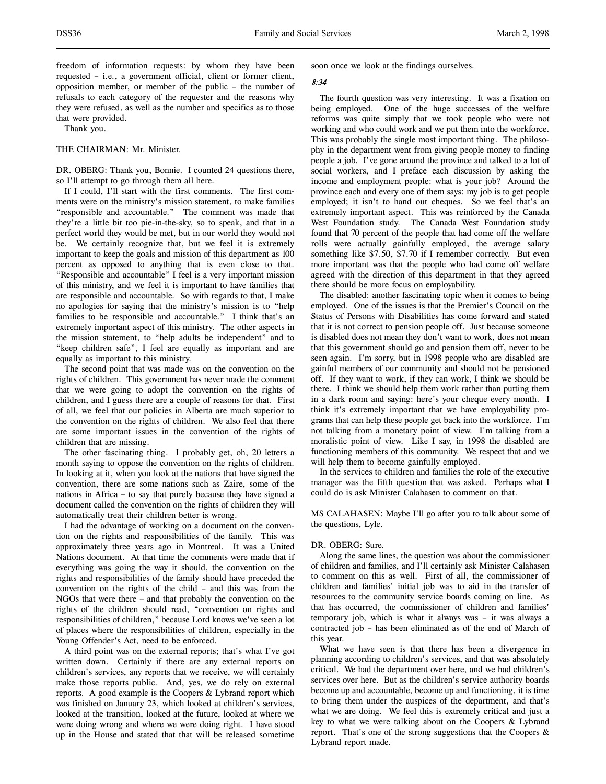freedom of information requests: by whom they have been requested – i.e., a government official, client or former client, opposition member, or member of the public – the number of refusals to each category of the requester and the reasons why they were refused, as well as the number and specifics as to those that were provided.

Thank you.

#### THE CHAIRMAN: Mr. Minister.

DR. OBERG: Thank you, Bonnie. I counted 24 questions there, so I'll attempt to go through them all here.

If I could, I'll start with the first comments. The first comments were on the ministry's mission statement, to make families "responsible and accountable." The comment was made that they're a little bit too pie-in-the-sky, so to speak, and that in a perfect world they would be met, but in our world they would not be. We certainly recognize that, but we feel it is extremely important to keep the goals and mission of this department as 100 percent as opposed to anything that is even close to that. "Responsible and accountable" I feel is a very important mission of this ministry, and we feel it is important to have families that are responsible and accountable. So with regards to that, I make no apologies for saying that the ministry's mission is to "help families to be responsible and accountable." I think that's an extremely important aspect of this ministry. The other aspects in the mission statement, to "help adults be independent" and to "keep children safe", I feel are equally as important and are equally as important to this ministry.

The second point that was made was on the convention on the rights of children. This government has never made the comment that we were going to adopt the convention on the rights of children, and I guess there are a couple of reasons for that. First of all, we feel that our policies in Alberta are much superior to the convention on the rights of children. We also feel that there are some important issues in the convention of the rights of children that are missing.

The other fascinating thing. I probably get, oh, 20 letters a month saying to oppose the convention on the rights of children. In looking at it, when you look at the nations that have signed the convention, there are some nations such as Zaire, some of the nations in Africa – to say that purely because they have signed a document called the convention on the rights of children they will automatically treat their children better is wrong.

I had the advantage of working on a document on the convention on the rights and responsibilities of the family. This was approximately three years ago in Montreal. It was a United Nations document. At that time the comments were made that if everything was going the way it should, the convention on the rights and responsibilities of the family should have preceded the convention on the rights of the child – and this was from the NGOs that were there – and that probably the convention on the rights of the children should read, "convention on rights and responsibilities of children," because Lord knows we've seen a lot of places where the responsibilities of children, especially in the Young Offender's Act, need to be enforced.

A third point was on the external reports; that's what I've got written down. Certainly if there are any external reports on children's services, any reports that we receive, we will certainly make those reports public. And, yes, we do rely on external reports. A good example is the Coopers & Lybrand report which was finished on January 23, which looked at children's services, looked at the transition, looked at the future, looked at where we were doing wrong and where we were doing right. I have stood up in the House and stated that that will be released sometime

soon once we look at the findings ourselves.

### 8:34

The fourth question was very interesting. It was a fixation on being employed. One of the huge successes of the welfare reforms was quite simply that we took people who were not working and who could work and we put them into the workforce. This was probably the single most important thing. The philosophy in the department went from giving people money to finding people a job. I've gone around the province and talked to a lot of social workers, and I preface each discussion by asking the income and employment people: what is your job? Around the province each and every one of them says: my job is to get people employed; it isn't to hand out cheques. So we feel that's an extremely important aspect. This was reinforced by the Canada West Foundation study. The Canada West Foundation study found that 70 percent of the people that had come off the welfare rolls were actually gainfully employed, the average salary something like \$7.50, \$7.70 if I remember correctly. But even more important was that the people who had come off welfare agreed with the direction of this department in that they agreed there should be more focus on employability.

The disabled: another fascinating topic when it comes to being employed. One of the issues is that the Premier's Council on the Status of Persons with Disabilities has come forward and stated that it is not correct to pension people off. Just because someone is disabled does not mean they don't want to work, does not mean that this government should go and pension them off, never to be seen again. I'm sorry, but in 1998 people who are disabled are gainful members of our community and should not be pensioned off. If they want to work, if they can work, I think we should be there. I think we should help them work rather than putting them in a dark room and saying: here's your cheque every month. I think it's extremely important that we have employability programs that can help these people get back into the workforce. I'm not talking from a monetary point of view. I'm talking from a moralistic point of view. Like I say, in 1998 the disabled are functioning members of this community. We respect that and we will help them to become gainfully employed.

In the services to children and families the role of the executive manager was the fifth question that was asked. Perhaps what I could do is ask Minister Calahasen to comment on that.

MS CALAHASEN: Maybe I'll go after you to talk about some of the questions, Lyle.

#### DR. OBERG: Sure.

Along the same lines, the question was about the commissioner of children and families, and I'll certainly ask Minister Calahasen to comment on this as well. First of all, the commissioner of children and families' initial job was to aid in the transfer of resources to the community service boards coming on line. As that has occurred, the commissioner of children and families' temporary job, which is what it always was – it was always a contracted job – has been eliminated as of the end of March of this year.

What we have seen is that there has been a divergence in planning according to children's services, and that was absolutely critical. We had the department over here, and we had children's services over here. But as the children's service authority boards become up and accountable, become up and functioning, it is time to bring them under the auspices of the department, and that's what we are doing. We feel this is extremely critical and just a key to what we were talking about on the Coopers & Lybrand report. That's one of the strong suggestions that the Coopers & Lybrand report made.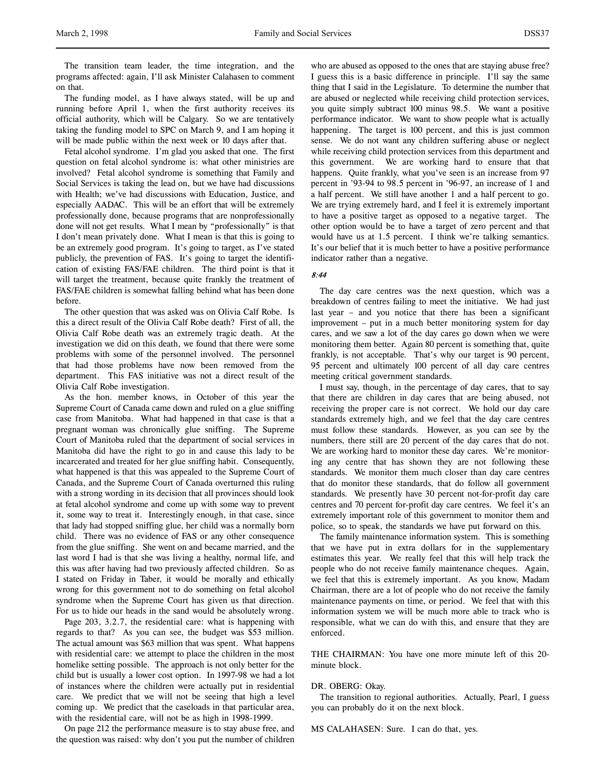The transition team leader, the time integration, and the programs affected: again, I'll ask Minister Calahasen to comment on that.

The funding model, as I have always stated, will be up and running before April 1, when the first authority receives its official authority, which will be Calgary. So we are tentatively taking the funding model to SPC on March 9, and I am hoping it will be made public within the next week or 10 days after that.

Fetal alcohol syndrome. I'm glad you asked that one. The first question on fetal alcohol syndrome is: what other ministries are involved? Fetal alcohol syndrome is something that Family and Social Services is taking the lead on, but we have had discussions with Health; we've had discussions with Education, Justice, and especially AADAC. This will be an effort that will be extremely professionally done, because programs that are nonprofessionally done will not get results. What I mean by "professionally" is that I don't mean privately done. What I mean is that this is going to be an extremely good program. It's going to target, as I've stated publicly, the prevention of FAS. It's going to target the identification of existing FAS/FAE children. The third point is that it will target the treatment, because quite frankly the treatment of FAS/FAE children is somewhat falling behind what has been done before.

The other question that was asked was on Olivia Calf Robe. Is this a direct result of the Olivia Calf Robe death? First of all, the Olivia Calf Robe death was an extremely tragic death. At the investigation we did on this death, we found that there were some problems with some of the personnel involved. The personnel that had those problems have now been removed from the department. This FAS initiative was not a direct result of the Olivia Calf Robe investigation.

As the hon. member knows, in October of this year the Supreme Court of Canada came down and ruled on a glue sniffing case from Manitoba. What had happened in that case is that a pregnant woman was chronically glue sniffing. The Supreme Court of Manitoba ruled that the department of social services in Manitoba did have the right to go in and cause this lady to be incarcerated and treated for her glue sniffing habit. Consequently, what happened is that this was appealed to the Supreme Court of Canada, and the Supreme Court of Canada overturned this ruling with a strong wording in its decision that all provinces should look at fetal alcohol syndrome and come up with some way to prevent it, some way to treat it. Interestingly enough, in that case, since that lady had stopped sniffing glue, her child was a normally born child. There was no evidence of FAS or any other consequence from the glue sniffing. She went on and became married, and the last word I had is that she was living a healthy, normal life, and this was after having had two previously affected children. So as I stated on Friday in Taber, it would be morally and ethically wrong for this government not to do something on fetal alcohol syndrome when the Supreme Court has given us that direction. For us to hide our heads in the sand would be absolutely wrong.

Page 203, 3.2.7, the residential care: what is happening with regards to that? As you can see, the budget was \$53 million. The actual amount was \$63 million that was spent. What happens with residential care: we attempt to place the children in the most homelike setting possible. The approach is not only better for the child but is usually a lower cost option. In 1997-98 we had a lot of instances where the children were actually put in residential care. We predict that we will not be seeing that high a level coming up. We predict that the caseloads in that particular area, with the residential care, will not be as high in 1998-1999.

On page 212 the performance measure is to stay abuse free, and the question was raised: why don't you put the number of children

who are abused as opposed to the ones that are staying abuse free? I guess this is a basic difference in principle. I'll say the same thing that I said in the Legislature. To determine the number that are abused or neglected while receiving child protection services, you quite simply subtract 100 minus 98.5. We want a positive performance indicator. We want to show people what is actually happening. The target is 100 percent, and this is just common sense. We do not want any children suffering abuse or neglect while receiving child protection services from this department and this government. We are working hard to ensure that that happens. Quite frankly, what you've seen is an increase from 97 percent in '93-94 to 98.5 percent in '96-97, an increase of 1 and a half percent. We still have another 1 and a half percent to go. We are trying extremely hard, and I feel it is extremely important to have a positive target as opposed to a negative target. The other option would be to have a target of zero percent and that would have us at 1.5 percent. I think we're talking semantics. It's our belief that it is much better to have a positive performance indicator rather than a negative.

### 8:44

The day care centres was the next question, which was a breakdown of centres failing to meet the initiative. We had just last year – and you notice that there has been a significant improvement – put in a much better monitoring system for day cares, and we saw a lot of the day cares go down when we were monitoring them better. Again 80 percent is something that, quite frankly, is not acceptable. That's why our target is 90 percent, 95 percent and ultimately 100 percent of all day care centres meeting critical government standards.

I must say, though, in the percentage of day cares, that to say that there are children in day cares that are being abused, not receiving the proper care is not correct. We hold our day care standards extremely high, and we feel that the day care centres must follow these standards. However, as you can see by the numbers, there still are 20 percent of the day cares that do not. We are working hard to monitor these day cares. We're monitoring any centre that has shown they are not following these standards. We monitor them much closer than day care centres that do monitor these standards, that do follow all government standards. We presently have 30 percent not-for-profit day care centres and 70 percent for-profit day care centres. We feel it's an extremely important role of this government to monitor them and police, so to speak, the standards we have put forward on this.

The family maintenance information system. This is something that we have put in extra dollars for in the supplementary estimates this year. We really feel that this will help track the people who do not receive family maintenance cheques. Again, we feel that this is extremely important. As you know, Madam Chairman, there are a lot of people who do not receive the family maintenance payments on time, or period. We feel that with this information system we will be much more able to track who is responsible, what we can do with this, and ensure that they are enforced.

THE CHAIRMAN: You have one more minute left of this 20 minute block.

#### DR. OBERG: Okay.

The transition to regional authorities. Actually, Pearl, I guess you can probably do it on the next block.

MS CALAHASEN: Sure. I can do that, yes.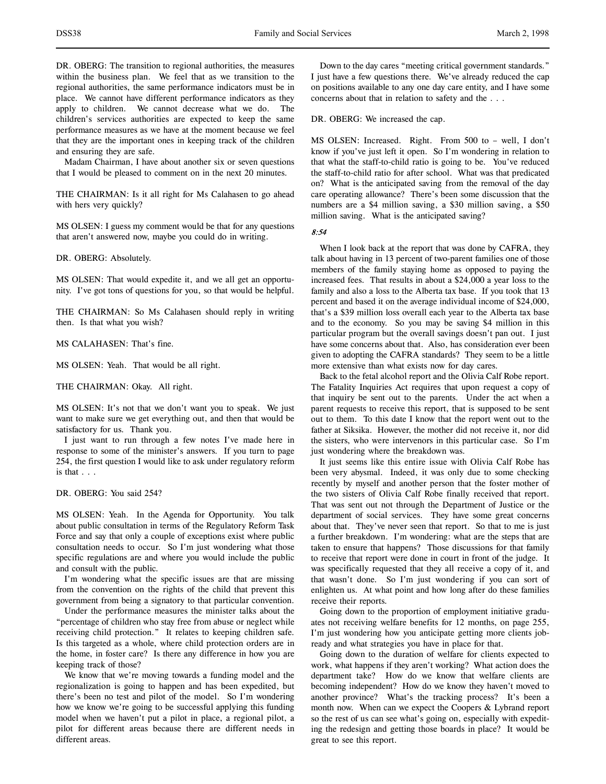Madam Chairman, I have about another six or seven questions that I would be pleased to comment on in the next 20 minutes.

THE CHAIRMAN: Is it all right for Ms Calahasen to go ahead with hers very quickly?

MS OLSEN: I guess my comment would be that for any questions that aren't answered now, maybe you could do in writing.

DR. OBERG: Absolutely.

MS OLSEN: That would expedite it, and we all get an opportunity. I've got tons of questions for you, so that would be helpful.

THE CHAIRMAN: So Ms Calahasen should reply in writing then. Is that what you wish?

MS CALAHASEN: That's fine.

MS OLSEN: Yeah. That would be all right.

THE CHAIRMAN: Okay. All right.

MS OLSEN: It's not that we don't want you to speak. We just want to make sure we get everything out, and then that would be satisfactory for us. Thank you.

I just want to run through a few notes I've made here in response to some of the minister's answers. If you turn to page 254, the first question I would like to ask under regulatory reform is that . . .

### DR. OBERG: You said 254?

MS OLSEN: Yeah. In the Agenda for Opportunity. You talk about public consultation in terms of the Regulatory Reform Task Force and say that only a couple of exceptions exist where public consultation needs to occur. So I'm just wondering what those specific regulations are and where you would include the public and consult with the public.

I'm wondering what the specific issues are that are missing from the convention on the rights of the child that prevent this government from being a signatory to that particular convention.

Under the performance measures the minister talks about the "percentage of children who stay free from abuse or neglect while receiving child protection." It relates to keeping children safe. Is this targeted as a whole, where child protection orders are in the home, in foster care? Is there any difference in how you are keeping track of those?

We know that we're moving towards a funding model and the regionalization is going to happen and has been expedited, but there's been no test and pilot of the model. So I'm wondering how we know we're going to be successful applying this funding model when we haven't put a pilot in place, a regional pilot, a pilot for different areas because there are different needs in different areas.

Down to the day cares "meeting critical government standards." I just have a few questions there. We've already reduced the cap on positions available to any one day care entity, and I have some concerns about that in relation to safety and the . . .

DR. OBERG: We increased the cap.

MS OLSEN: Increased. Right. From 500 to – well, I don't know if you've just left it open. So I'm wondering in relation to that what the staff-to-child ratio is going to be. You've reduced the staff-to-child ratio for after school. What was that predicated on? What is the anticipated saving from the removal of the day care operating allowance? There's been some discussion that the numbers are a \$4 million saving, a \$30 million saving, a \$50 million saving. What is the anticipated saving?

8:54

When I look back at the report that was done by CAFRA, they talk about having in 13 percent of two-parent families one of those members of the family staying home as opposed to paying the increased fees. That results in about a \$24,000 a year loss to the family and also a loss to the Alberta tax base. If you took that 13 percent and based it on the average individual income of \$24,000, that's a \$39 million loss overall each year to the Alberta tax base and to the economy. So you may be saving \$4 million in this particular program but the overall savings doesn't pan out. I just have some concerns about that. Also, has consideration ever been given to adopting the CAFRA standards? They seem to be a little more extensive than what exists now for day cares.

Back to the fetal alcohol report and the Olivia Calf Robe report. The Fatality Inquiries Act requires that upon request a copy of that inquiry be sent out to the parents. Under the act when a parent requests to receive this report, that is supposed to be sent out to them. To this date I know that the report went out to the father at Siksika. However, the mother did not receive it, nor did the sisters, who were intervenors in this particular case. So I'm just wondering where the breakdown was.

It just seems like this entire issue with Olivia Calf Robe has been very abysmal. Indeed, it was only due to some checking recently by myself and another person that the foster mother of the two sisters of Olivia Calf Robe finally received that report. That was sent out not through the Department of Justice or the department of social services. They have some great concerns about that. They've never seen that report. So that to me is just a further breakdown. I'm wondering: what are the steps that are taken to ensure that happens? Those discussions for that family to receive that report were done in court in front of the judge. It was specifically requested that they all receive a copy of it, and that wasn't done. So I'm just wondering if you can sort of enlighten us. At what point and how long after do these families receive their reports.

Going down to the proportion of employment initiative graduates not receiving welfare benefits for 12 months, on page 255, I'm just wondering how you anticipate getting more clients jobready and what strategies you have in place for that.

Going down to the duration of welfare for clients expected to work, what happens if they aren't working? What action does the department take? How do we know that welfare clients are becoming independent? How do we know they haven't moved to another province? What's the tracking process? It's been a month now. When can we expect the Coopers & Lybrand report so the rest of us can see what's going on, especially with expediting the redesign and getting those boards in place? It would be great to see this report.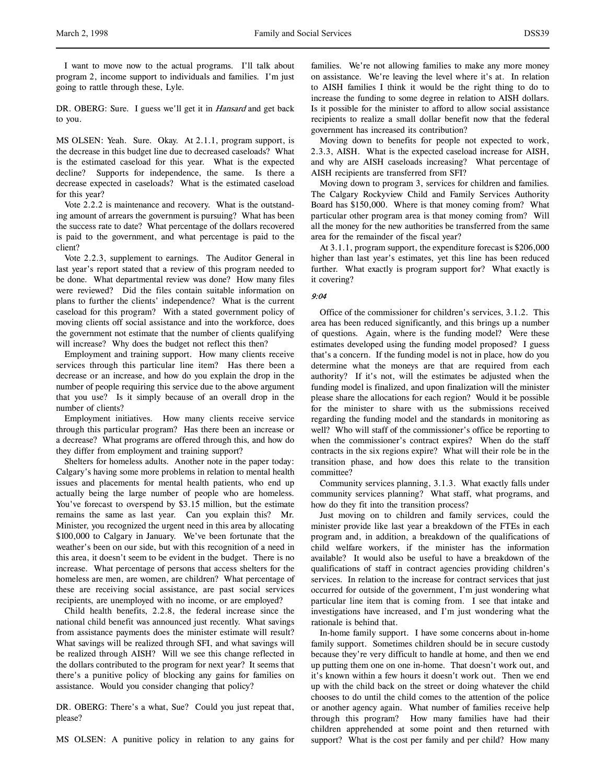I want to move now to the actual programs. I'll talk about program 2, income support to individuals and families. I'm just going to rattle through these, Lyle.

DR. OBERG: Sure. I guess we'll get it in *Hansard* and get back to you.

MS OLSEN: Yeah. Sure. Okay. At 2.1.1, program support, is the decrease in this budget line due to decreased caseloads? What is the estimated caseload for this year. What is the expected decline? Supports for independence, the same. Is there a decrease expected in caseloads? What is the estimated caseload for this year?

Vote 2.2.2 is maintenance and recovery. What is the outstanding amount of arrears the government is pursuing? What has been the success rate to date? What percentage of the dollars recovered is paid to the government, and what percentage is paid to the client?

Vote 2.2.3, supplement to earnings. The Auditor General in last year's report stated that a review of this program needed to be done. What departmental review was done? How many files were reviewed? Did the files contain suitable information on plans to further the clients' independence? What is the current caseload for this program? With a stated government policy of moving clients off social assistance and into the workforce, does the government not estimate that the number of clients qualifying will increase? Why does the budget not reflect this then?

Employment and training support. How many clients receive services through this particular line item? Has there been a decrease or an increase, and how do you explain the drop in the number of people requiring this service due to the above argument that you use? Is it simply because of an overall drop in the number of clients?

Employment initiatives. How many clients receive service through this particular program? Has there been an increase or a decrease? What programs are offered through this, and how do they differ from employment and training support?

Shelters for homeless adults. Another note in the paper today: Calgary's having some more problems in relation to mental health issues and placements for mental health patients, who end up actually being the large number of people who are homeless. You've forecast to overspend by \$3.15 million, but the estimate remains the same as last year. Can you explain this? Mr. Minister, you recognized the urgent need in this area by allocating \$100,000 to Calgary in January. We've been fortunate that the weather's been on our side, but with this recognition of a need in this area, it doesn't seem to be evident in the budget. There is no increase. What percentage of persons that access shelters for the homeless are men, are women, are children? What percentage of these are receiving social assistance, are past social services recipients, are unemployed with no income, or are employed?

Child health benefits, 2.2.8, the federal increase since the national child benefit was announced just recently. What savings from assistance payments does the minister estimate will result? What savings will be realized through SFI, and what savings will be realized through AISH? Will we see this change reflected in the dollars contributed to the program for next year? It seems that there's a punitive policy of blocking any gains for families on assistance. Would you consider changing that policy?

DR. OBERG: There's a what, Sue? Could you just repeat that, please?

MS OLSEN: A punitive policy in relation to any gains for

families. We're not allowing families to make any more money on assistance. We're leaving the level where it's at. In relation to AISH families I think it would be the right thing to do to increase the funding to some degree in relation to AISH dollars. Is it possible for the minister to afford to allow social assistance recipients to realize a small dollar benefit now that the federal government has increased its contribution?

Moving down to benefits for people not expected to work, 2.3.3, AISH. What is the expected caseload increase for AISH, and why are AISH caseloads increasing? What percentage of AISH recipients are transferred from SFI?

Moving down to program 3, services for children and families. The Calgary Rockyview Child and Family Services Authority Board has \$150,000. Where is that money coming from? What particular other program area is that money coming from? Will all the money for the new authorities be transferred from the same area for the remainder of the fiscal year?

At 3.1.1, program support, the expenditure forecast is \$206,000 higher than last year's estimates, yet this line has been reduced further. What exactly is program support for? What exactly is it covering?

### 9:04

Office of the commissioner for children's services, 3.1.2. This area has been reduced significantly, and this brings up a number of questions. Again, where is the funding model? Were these estimates developed using the funding model proposed? I guess that's a concern. If the funding model is not in place, how do you determine what the moneys are that are required from each authority? If it's not, will the estimates be adjusted when the funding model is finalized, and upon finalization will the minister please share the allocations for each region? Would it be possible for the minister to share with us the submissions received regarding the funding model and the standards in monitoring as well? Who will staff of the commissioner's office be reporting to when the commissioner's contract expires? When do the staff contracts in the six regions expire? What will their role be in the transition phase, and how does this relate to the transition committee?

Community services planning, 3.1.3. What exactly falls under community services planning? What staff, what programs, and how do they fit into the transition process?

Just moving on to children and family services, could the minister provide like last year a breakdown of the FTEs in each program and, in addition, a breakdown of the qualifications of child welfare workers, if the minister has the information available? It would also be useful to have a breakdown of the qualifications of staff in contract agencies providing children's services. In relation to the increase for contract services that just occurred for outside of the government, I'm just wondering what particular line item that is coming from. I see that intake and investigations have increased, and I'm just wondering what the rationale is behind that.

In-home family support. I have some concerns about in-home family support. Sometimes children should be in secure custody because they're very difficult to handle at home, and then we end up putting them one on one in-home. That doesn't work out, and it's known within a few hours it doesn't work out. Then we end up with the child back on the street or doing whatever the child chooses to do until the child comes to the attention of the police or another agency again. What number of families receive help through this program? How many families have had their children apprehended at some point and then returned with support? What is the cost per family and per child? How many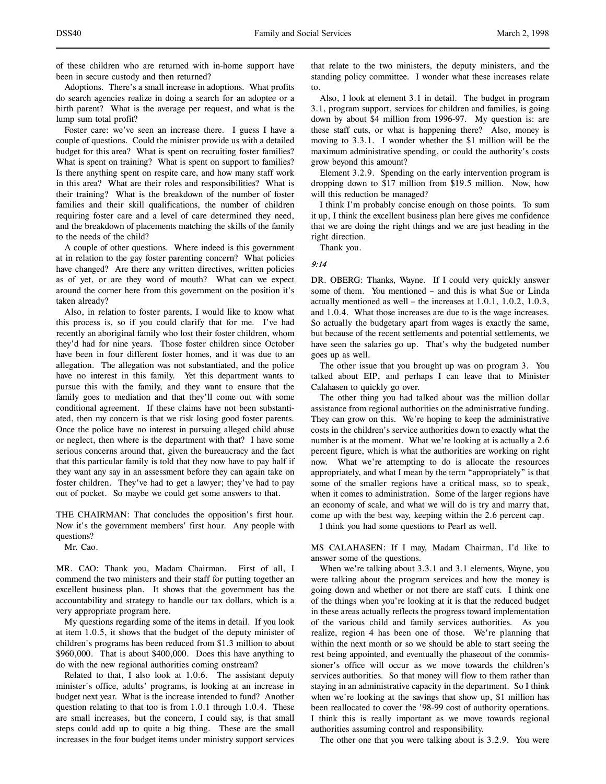of these children who are returned with in-home support have been in secure custody and then returned?

Adoptions. There's a small increase in adoptions. What profits do search agencies realize in doing a search for an adoptee or a birth parent? What is the average per request, and what is the lump sum total profit?

Foster care: we've seen an increase there. I guess I have a couple of questions. Could the minister provide us with a detailed budget for this area? What is spent on recruiting foster families? What is spent on training? What is spent on support to families? Is there anything spent on respite care, and how many staff work in this area? What are their roles and responsibilities? What is their training? What is the breakdown of the number of foster families and their skill qualifications, the number of children requiring foster care and a level of care determined they need, and the breakdown of placements matching the skills of the family to the needs of the child?

A couple of other questions. Where indeed is this government at in relation to the gay foster parenting concern? What policies have changed? Are there any written directives, written policies as of yet, or are they word of mouth? What can we expect around the corner here from this government on the position it's taken already?

Also, in relation to foster parents, I would like to know what this process is, so if you could clarify that for me. I've had recently an aboriginal family who lost their foster children, whom they'd had for nine years. Those foster children since October have been in four different foster homes, and it was due to an allegation. The allegation was not substantiated, and the police have no interest in this family. Yet this department wants to pursue this with the family, and they want to ensure that the family goes to mediation and that they'll come out with some conditional agreement. If these claims have not been substantiated, then my concern is that we risk losing good foster parents. Once the police have no interest in pursuing alleged child abuse or neglect, then where is the department with that? I have some serious concerns around that, given the bureaucracy and the fact that this particular family is told that they now have to pay half if they want any say in an assessment before they can again take on foster children. They've had to get a lawyer; they've had to pay out of pocket. So maybe we could get some answers to that.

THE CHAIRMAN: That concludes the opposition's first hour. Now it's the government members' first hour. Any people with questions?

Mr. Cao.

MR. CAO: Thank you, Madam Chairman. First of all, I commend the two ministers and their staff for putting together an excellent business plan. It shows that the government has the accountability and strategy to handle our tax dollars, which is a very appropriate program here.

My questions regarding some of the items in detail. If you look at item 1.0.5, it shows that the budget of the deputy minister of children's programs has been reduced from \$1.3 million to about \$960,000. That is about \$400,000. Does this have anything to do with the new regional authorities coming onstream?

Related to that, I also look at 1.0.6. The assistant deputy minister's office, adults' programs, is looking at an increase in budget next year. What is the increase intended to fund? Another question relating to that too is from 1.0.1 through 1.0.4. These are small increases, but the concern, I could say, is that small steps could add up to quite a big thing. These are the small increases in the four budget items under ministry support services

that relate to the two ministers, the deputy ministers, and the standing policy committee. I wonder what these increases relate to.

Also, I look at element 3.1 in detail. The budget in program 3.1, program support, services for children and families, is going down by about \$4 million from 1996-97. My question is: are these staff cuts, or what is happening there? Also, money is moving to 3.3.1. I wonder whether the \$1 million will be the maximum administrative spending, or could the authority's costs grow beyond this amount?

Element 3.2.9. Spending on the early intervention program is dropping down to \$17 million from \$19.5 million. Now, how will this reduction be managed?

I think I'm probably concise enough on those points. To sum it up, I think the excellent business plan here gives me confidence that we are doing the right things and we are just heading in the right direction.

Thank you.

# 9:14

DR. OBERG: Thanks, Wayne. If I could very quickly answer some of them. You mentioned – and this is what Sue or Linda actually mentioned as well – the increases at 1.0.1, 1.0.2, 1.0.3, and 1.0.4. What those increases are due to is the wage increases. So actually the budgetary apart from wages is exactly the same, but because of the recent settlements and potential settlements, we have seen the salaries go up. That's why the budgeted number goes up as well.

The other issue that you brought up was on program 3. You talked about EIP, and perhaps I can leave that to Minister Calahasen to quickly go over.

The other thing you had talked about was the million dollar assistance from regional authorities on the administrative funding. They can grow on this. We're hoping to keep the administrative costs in the children's service authorities down to exactly what the number is at the moment. What we're looking at is actually a 2.6 percent figure, which is what the authorities are working on right now. What we're attempting to do is allocate the resources appropriately, and what I mean by the term "appropriately" is that some of the smaller regions have a critical mass, so to speak, when it comes to administration. Some of the larger regions have an economy of scale, and what we will do is try and marry that, come up with the best way, keeping within the 2.6 percent cap.

I think you had some questions to Pearl as well.

MS CALAHASEN: If I may, Madam Chairman, I'd like to answer some of the questions.

When we're talking about 3.3.1 and 3.1 elements, Wayne, you were talking about the program services and how the money is going down and whether or not there are staff cuts. I think one of the things when you're looking at it is that the reduced budget in these areas actually reflects the progress toward implementation of the various child and family services authorities. As you realize, region 4 has been one of those. We're planning that within the next month or so we should be able to start seeing the rest being appointed, and eventually the phaseout of the commissioner's office will occur as we move towards the children's services authorities. So that money will flow to them rather than staying in an administrative capacity in the department. So I think when we're looking at the savings that show up, \$1 million has been reallocated to cover the '98-99 cost of authority operations. I think this is really important as we move towards regional authorities assuming control and responsibility.

The other one that you were talking about is 3.2.9. You were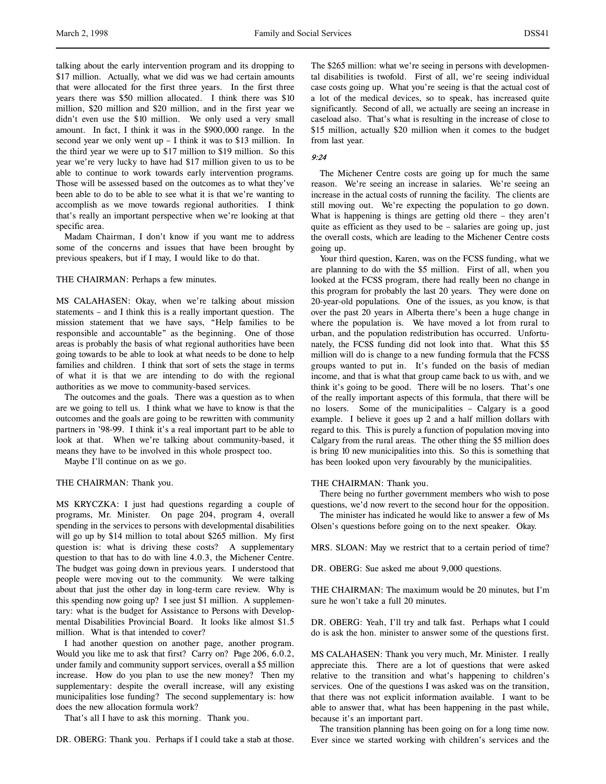talking about the early intervention program and its dropping to \$17 million. Actually, what we did was we had certain amounts that were allocated for the first three years. In the first three years there was \$50 million allocated. I think there was \$10 million, \$20 million and \$20 million, and in the first year we didn't even use the \$10 million. We only used a very small amount. In fact, I think it was in the \$900,000 range. In the second year we only went up – I think it was to \$13 million. In the third year we were up to \$17 million to \$19 million. So this year we're very lucky to have had \$17 million given to us to be able to continue to work towards early intervention programs. Those will be assessed based on the outcomes as to what they've been able to do to be able to see what it is that we're wanting to accomplish as we move towards regional authorities. I think that's really an important perspective when we're looking at that specific area.

Madam Chairman, I don't know if you want me to address some of the concerns and issues that have been brought by previous speakers, but if I may, I would like to do that.

### THE CHAIRMAN: Perhaps a few minutes.

MS CALAHASEN: Okay, when we're talking about mission statements – and I think this is a really important question. The mission statement that we have says, "Help families to be responsible and accountable" as the beginning. One of those areas is probably the basis of what regional authorities have been going towards to be able to look at what needs to be done to help families and children. I think that sort of sets the stage in terms of what it is that we are intending to do with the regional authorities as we move to community-based services.

The outcomes and the goals. There was a question as to when are we going to tell us. I think what we have to know is that the outcomes and the goals are going to be rewritten with community partners in '98-99. I think it's a real important part to be able to look at that. When we're talking about community-based, it means they have to be involved in this whole prospect too.

Maybe I'll continue on as we go.

### THE CHAIRMAN: Thank you.

MS KRYCZKA: I just had questions regarding a couple of programs, Mr. Minister. On page 204, program 4, overall spending in the services to persons with developmental disabilities will go up by \$14 million to total about \$265 million. My first question is: what is driving these costs? A supplementary question to that has to do with line 4.0.3, the Michener Centre. The budget was going down in previous years. I understood that people were moving out to the community. We were talking about that just the other day in long-term care review. Why is this spending now going up? I see just \$1 million. A supplementary: what is the budget for Assistance to Persons with Developmental Disabilities Provincial Board. It looks like almost \$1.5 million. What is that intended to cover?

I had another question on another page, another program. Would you like me to ask that first? Carry on? Page 206, 6.0.2, under family and community support services, overall a \$5 million increase. How do you plan to use the new money? Then my supplementary: despite the overall increase, will any existing municipalities lose funding? The second supplementary is: how does the new allocation formula work?

That's all I have to ask this morning. Thank you.

DR. OBERG: Thank you. Perhaps if I could take a stab at those.

The \$265 million: what we're seeing in persons with developmental disabilities is twofold. First of all, we're seeing individual case costs going up. What you're seeing is that the actual cost of a lot of the medical devices, so to speak, has increased quite significantly. Second of all, we actually are seeing an increase in caseload also. That's what is resulting in the increase of close to \$15 million, actually \$20 million when it comes to the budget from last year.

### 9:24

The Michener Centre costs are going up for much the same reason. We're seeing an increase in salaries. We're seeing an increase in the actual costs of running the facility. The clients are still moving out. We're expecting the population to go down. What is happening is things are getting old there – they aren't quite as efficient as they used to be – salaries are going up, just the overall costs, which are leading to the Michener Centre costs going up.

Your third question, Karen, was on the FCSS funding, what we are planning to do with the \$5 million. First of all, when you looked at the FCSS program, there had really been no change in this program for probably the last 20 years. They were done on 20-year-old populations. One of the issues, as you know, is that over the past 20 years in Alberta there's been a huge change in where the population is. We have moved a lot from rural to urban, and the population redistribution has occurred. Unfortunately, the FCSS funding did not look into that. What this \$5 million will do is change to a new funding formula that the FCSS groups wanted to put in. It's funded on the basis of median income, and that is what that group came back to us with, and we think it's going to be good. There will be no losers. That's one of the really important aspects of this formula, that there will be no losers. Some of the municipalities – Calgary is a good example. I believe it goes up 2 and a half million dollars with regard to this. This is purely a function of population moving into Calgary from the rural areas. The other thing the \$5 million does is bring 10 new municipalities into this. So this is something that has been looked upon very favourably by the municipalities.

## THE CHAIRMAN: Thank you.

There being no further government members who wish to pose questions, we'd now revert to the second hour for the opposition.

The minister has indicated he would like to answer a few of Ms Olsen's questions before going on to the next speaker. Okay.

MRS. SLOAN: May we restrict that to a certain period of time?

DR. OBERG: Sue asked me about 9,000 questions.

THE CHAIRMAN: The maximum would be 20 minutes, but I'm sure he won't take a full 20 minutes.

DR. OBERG: Yeah, I'll try and talk fast. Perhaps what I could do is ask the hon. minister to answer some of the questions first.

MS CALAHASEN: Thank you very much, Mr. Minister. I really appreciate this. There are a lot of questions that were asked relative to the transition and what's happening to children's services. One of the questions I was asked was on the transition, that there was not explicit information available. I want to be able to answer that, what has been happening in the past while, because it's an important part.

The transition planning has been going on for a long time now. Ever since we started working with children's services and the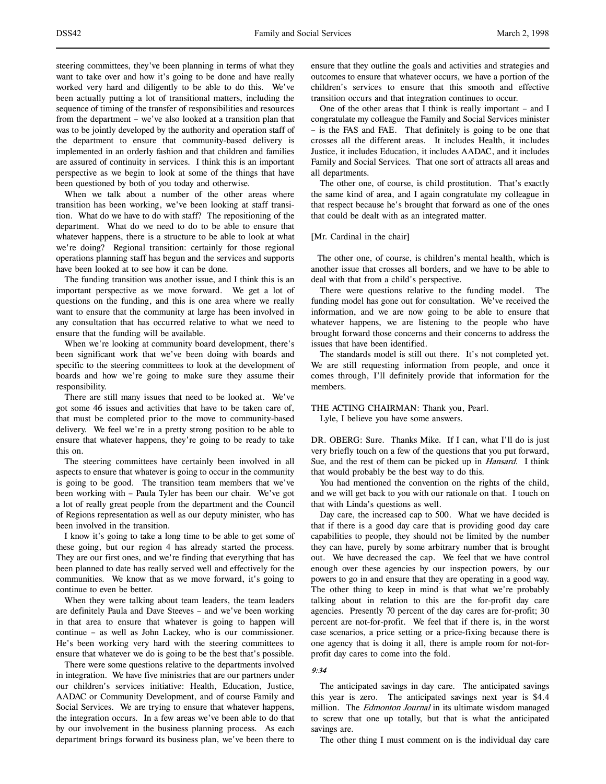steering committees, they've been planning in terms of what they want to take over and how it's going to be done and have really worked very hard and diligently to be able to do this. We've been actually putting a lot of transitional matters, including the sequence of timing of the transfer of responsibilities and resources from the department – we've also looked at a transition plan that was to be jointly developed by the authority and operation staff of the department to ensure that community-based delivery is implemented in an orderly fashion and that children and families are assured of continuity in services. I think this is an important perspective as we begin to look at some of the things that have been questioned by both of you today and otherwise.

When we talk about a number of the other areas where transition has been working, we've been looking at staff transition. What do we have to do with staff? The repositioning of the department. What do we need to do to be able to ensure that whatever happens, there is a structure to be able to look at what we're doing? Regional transition: certainly for those regional operations planning staff has begun and the services and supports have been looked at to see how it can be done.

The funding transition was another issue, and I think this is an important perspective as we move forward. We get a lot of questions on the funding, and this is one area where we really want to ensure that the community at large has been involved in any consultation that has occurred relative to what we need to ensure that the funding will be available.

When we're looking at community board development, there's been significant work that we've been doing with boards and specific to the steering committees to look at the development of boards and how we're going to make sure they assume their responsibility.

There are still many issues that need to be looked at. We've got some 46 issues and activities that have to be taken care of, that must be completed prior to the move to community-based delivery. We feel we're in a pretty strong position to be able to ensure that whatever happens, they're going to be ready to take this on.

The steering committees have certainly been involved in all aspects to ensure that whatever is going to occur in the community is going to be good. The transition team members that we've been working with – Paula Tyler has been our chair. We've got a lot of really great people from the department and the Council of Regions representation as well as our deputy minister, who has been involved in the transition.

I know it's going to take a long time to be able to get some of these going, but our region 4 has already started the process. They are our first ones, and we're finding that everything that has been planned to date has really served well and effectively for the communities. We know that as we move forward, it's going to continue to even be better.

When they were talking about team leaders, the team leaders are definitely Paula and Dave Steeves – and we've been working in that area to ensure that whatever is going to happen will continue – as well as John Lackey, who is our commissioner. He's been working very hard with the steering committees to ensure that whatever we do is going to be the best that's possible.

There were some questions relative to the departments involved in integration. We have five ministries that are our partners under our children's services initiative: Health, Education, Justice, AADAC or Community Development, and of course Family and Social Services. We are trying to ensure that whatever happens, the integration occurs. In a few areas we've been able to do that by our involvement in the business planning process. As each department brings forward its business plan, we've been there to

ensure that they outline the goals and activities and strategies and outcomes to ensure that whatever occurs, we have a portion of the children's services to ensure that this smooth and effective transition occurs and that integration continues to occur.

One of the other areas that I think is really important – and I congratulate my colleague the Family and Social Services minister – is the FAS and FAE. That definitely is going to be one that crosses all the different areas. It includes Health, it includes Justice, it includes Education, it includes AADAC, and it includes Family and Social Services. That one sort of attracts all areas and all departments.

The other one, of course, is child prostitution. That's exactly the same kind of area, and I again congratulate my colleague in that respect because he's brought that forward as one of the ones that could be dealt with as an integrated matter.

[Mr. Cardinal in the chair]

 The other one, of course, is children's mental health, which is another issue that crosses all borders, and we have to be able to deal with that from a child's perspective.

There were questions relative to the funding model. The funding model has gone out for consultation. We've received the information, and we are now going to be able to ensure that whatever happens, we are listening to the people who have brought forward those concerns and their concerns to address the issues that have been identified.

The standards model is still out there. It's not completed yet. We are still requesting information from people, and once it comes through, I'll definitely provide that information for the members.

### THE ACTING CHAIRMAN: Thank you, Pearl.

Lyle, I believe you have some answers.

DR. OBERG: Sure. Thanks Mike. If I can, what I'll do is just very briefly touch on a few of the questions that you put forward, Sue, and the rest of them can be picked up in *Hansard*. I think that would probably be the best way to do this.

You had mentioned the convention on the rights of the child, and we will get back to you with our rationale on that. I touch on that with Linda's questions as well.

Day care, the increased cap to 500. What we have decided is that if there is a good day care that is providing good day care capabilities to people, they should not be limited by the number they can have, purely by some arbitrary number that is brought out. We have decreased the cap. We feel that we have control enough over these agencies by our inspection powers, by our powers to go in and ensure that they are operating in a good way. The other thing to keep in mind is that what we're probably talking about in relation to this are the for-profit day care agencies. Presently 70 percent of the day cares are for-profit; 30 percent are not-for-profit. We feel that if there is, in the worst case scenarios, a price setting or a price-fixing because there is one agency that is doing it all, there is ample room for not-forprofit day cares to come into the fold.

### 9:34

The anticipated savings in day care. The anticipated savings this year is zero. The anticipated savings next year is \$4.4 million. The *Edmonton Journal* in its ultimate wisdom managed to screw that one up totally, but that is what the anticipated savings are.

The other thing I must comment on is the individual day care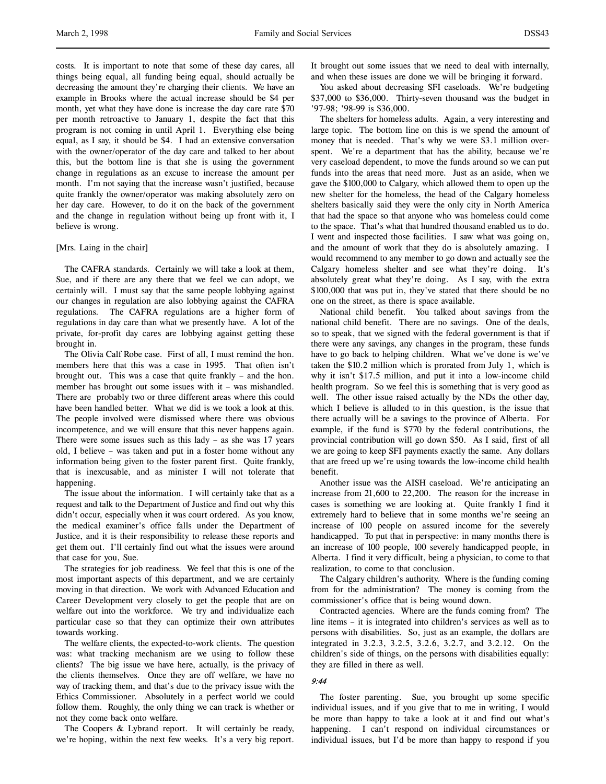costs. It is important to note that some of these day cares, all things being equal, all funding being equal, should actually be decreasing the amount they're charging their clients. We have an example in Brooks where the actual increase should be \$4 per month, yet what they have done is increase the day care rate \$70 per month retroactive to January 1, despite the fact that this program is not coming in until April 1. Everything else being equal, as I say, it should be \$4. I had an extensive conversation with the owner/operator of the day care and talked to her about this, but the bottom line is that she is using the government change in regulations as an excuse to increase the amount per month. I'm not saying that the increase wasn't justified, because quite frankly the owner/operator was making absolutely zero on her day care. However, to do it on the back of the government and the change in regulation without being up front with it, I believe is wrong.

#### [Mrs. Laing in the chair]

The CAFRA standards. Certainly we will take a look at them, Sue, and if there are any there that we feel we can adopt, we certainly will. I must say that the same people lobbying against our changes in regulation are also lobbying against the CAFRA regulations. The CAFRA regulations are a higher form of regulations in day care than what we presently have. A lot of the private, for-profit day cares are lobbying against getting these brought in.

The Olivia Calf Robe case. First of all, I must remind the hon. members here that this was a case in 1995. That often isn't brought out. This was a case that quite frankly – and the hon. member has brought out some issues with it – was mishandled. There are probably two or three different areas where this could have been handled better. What we did is we took a look at this. The people involved were dismissed where there was obvious incompetence, and we will ensure that this never happens again. There were some issues such as this lady – as she was  $17$  years old, I believe – was taken and put in a foster home without any information being given to the foster parent first. Quite frankly, that is inexcusable, and as minister I will not tolerate that happening.

The issue about the information. I will certainly take that as a request and talk to the Department of Justice and find out why this didn't occur, especially when it was court ordered. As you know, the medical examiner's office falls under the Department of Justice, and it is their responsibility to release these reports and get them out. I'll certainly find out what the issues were around that case for you, Sue.

The strategies for job readiness. We feel that this is one of the most important aspects of this department, and we are certainly moving in that direction. We work with Advanced Education and Career Development very closely to get the people that are on welfare out into the workforce. We try and individualize each particular case so that they can optimize their own attributes towards working.

The welfare clients, the expected-to-work clients. The question was: what tracking mechanism are we using to follow these clients? The big issue we have here, actually, is the privacy of the clients themselves. Once they are off welfare, we have no way of tracking them, and that's due to the privacy issue with the Ethics Commissioner. Absolutely in a perfect world we could follow them. Roughly, the only thing we can track is whether or not they come back onto welfare.

The Coopers & Lybrand report. It will certainly be ready, we're hoping, within the next few weeks. It's a very big report.

It brought out some issues that we need to deal with internally, and when these issues are done we will be bringing it forward.

You asked about decreasing SFI caseloads. We're budgeting \$37,000 to \$36,000. Thirty-seven thousand was the budget in '97-98; '98-99 is \$36,000.

The shelters for homeless adults. Again, a very interesting and large topic. The bottom line on this is we spend the amount of money that is needed. That's why we were \$3.1 million overspent. We're a department that has the ability, because we're very caseload dependent, to move the funds around so we can put funds into the areas that need more. Just as an aside, when we gave the \$100,000 to Calgary, which allowed them to open up the new shelter for the homeless, the head of the Calgary homeless shelters basically said they were the only city in North America that had the space so that anyone who was homeless could come to the space. That's what that hundred thousand enabled us to do. I went and inspected those facilities. I saw what was going on, and the amount of work that they do is absolutely amazing. I would recommend to any member to go down and actually see the Calgary homeless shelter and see what they're doing. It's absolutely great what they're doing. As I say, with the extra \$100,000 that was put in, they've stated that there should be no one on the street, as there is space available.

National child benefit. You talked about savings from the national child benefit. There are no savings. One of the deals, so to speak, that we signed with the federal government is that if there were any savings, any changes in the program, these funds have to go back to helping children. What we've done is we've taken the \$10.2 million which is prorated from July 1, which is why it isn't \$17.5 million, and put it into a low-income child health program. So we feel this is something that is very good as well. The other issue raised actually by the NDs the other day, which I believe is alluded to in this question, is the issue that there actually will be a savings to the province of Alberta. For example, if the fund is \$770 by the federal contributions, the provincial contribution will go down \$50. As I said, first of all we are going to keep SFI payments exactly the same. Any dollars that are freed up we're using towards the low-income child health benefit.

Another issue was the AISH caseload. We're anticipating an increase from 21,600 to 22,200. The reason for the increase in cases is something we are looking at. Quite frankly I find it extremely hard to believe that in some months we're seeing an increase of 100 people on assured income for the severely handicapped. To put that in perspective: in many months there is an increase of 100 people, 100 severely handicapped people, in Alberta. I find it very difficult, being a physician, to come to that realization, to come to that conclusion.

The Calgary children's authority. Where is the funding coming from for the administration? The money is coming from the commissioner's office that is being wound down.

Contracted agencies. Where are the funds coming from? The line items – it is integrated into children's services as well as to persons with disabilities. So, just as an example, the dollars are integrated in 3.2.3, 3.2.5, 3.2.6, 3.2.7, and 3.2.12. On the children's side of things, on the persons with disabilities equally: they are filled in there as well.

#### 9:44

The foster parenting. Sue, you brought up some specific individual issues, and if you give that to me in writing, I would be more than happy to take a look at it and find out what's happening. I can't respond on individual circumstances or individual issues, but I'd be more than happy to respond if you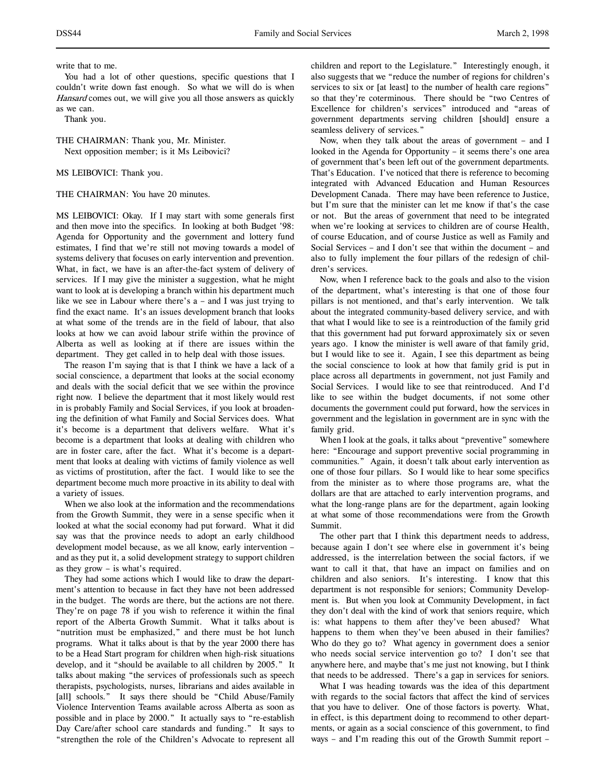write that to me.

You had a lot of other questions, specific questions that I couldn't write down fast enough. So what we will do is when Hansard comes out, we will give you all those answers as quickly as we can.

Thank you.

THE CHAIRMAN: Thank you, Mr. Minister. Next opposition member; is it Ms Leibovici?

MS LEIBOVICI: Thank you.

THE CHAIRMAN: You have 20 minutes.

MS LEIBOVICI: Okay. If I may start with some generals first and then move into the specifics. In looking at both Budget '98: Agenda for Opportunity and the government and lottery fund estimates, I find that we're still not moving towards a model of systems delivery that focuses on early intervention and prevention. What, in fact, we have is an after-the-fact system of delivery of services. If I may give the minister a suggestion, what he might want to look at is developing a branch within his department much like we see in Labour where there's a – and I was just trying to find the exact name. It's an issues development branch that looks at what some of the trends are in the field of labour, that also looks at how we can avoid labour strife within the province of Alberta as well as looking at if there are issues within the department. They get called in to help deal with those issues.

The reason I'm saying that is that I think we have a lack of a social conscience, a department that looks at the social economy and deals with the social deficit that we see within the province right now. I believe the department that it most likely would rest in is probably Family and Social Services, if you look at broadening the definition of what Family and Social Services does. What it's become is a department that delivers welfare. What it's become is a department that looks at dealing with children who are in foster care, after the fact. What it's become is a department that looks at dealing with victims of family violence as well as victims of prostitution, after the fact. I would like to see the department become much more proactive in its ability to deal with a variety of issues.

When we also look at the information and the recommendations from the Growth Summit, they were in a sense specific when it looked at what the social economy had put forward. What it did say was that the province needs to adopt an early childhood development model because, as we all know, early intervention – and as they put it, a solid development strategy to support children as they grow – is what's required.

They had some actions which I would like to draw the department's attention to because in fact they have not been addressed in the budget. The words are there, but the actions are not there. They're on page 78 if you wish to reference it within the final report of the Alberta Growth Summit. What it talks about is "nutrition must be emphasized," and there must be hot lunch programs. What it talks about is that by the year 2000 there has to be a Head Start program for children when high-risk situations develop, and it "should be available to all children by 2005." It talks about making "the services of professionals such as speech therapists, psychologists, nurses, librarians and aides available in [all] schools." It says there should be "Child Abuse/Family Violence Intervention Teams available across Alberta as soon as possible and in place by 2000." It actually says to "re-establish Day Care/after school care standards and funding." It says to "strengthen the role of the Children's Advocate to represent all

children and report to the Legislature." Interestingly enough, it also suggests that we "reduce the number of regions for children's services to six or [at least] to the number of health care regions" so that they're coterminous. There should be "two Centres of Excellence for children's services" introduced and "areas of government departments serving children [should] ensure a seamless delivery of services."

Now, when they talk about the areas of government – and I looked in the Agenda for Opportunity – it seems there's one area of government that's been left out of the government departments. That's Education. I've noticed that there is reference to becoming integrated with Advanced Education and Human Resources Development Canada. There may have been reference to Justice, but I'm sure that the minister can let me know if that's the case or not. But the areas of government that need to be integrated when we're looking at services to children are of course Health, of course Education, and of course Justice as well as Family and Social Services – and I don't see that within the document – and also to fully implement the four pillars of the redesign of children's services.

Now, when I reference back to the goals and also to the vision of the department, what's interesting is that one of those four pillars is not mentioned, and that's early intervention. We talk about the integrated community-based delivery service, and with that what I would like to see is a reintroduction of the family grid that this government had put forward approximately six or seven years ago. I know the minister is well aware of that family grid, but I would like to see it. Again, I see this department as being the social conscience to look at how that family grid is put in place across all departments in government, not just Family and Social Services. I would like to see that reintroduced. And I'd like to see within the budget documents, if not some other documents the government could put forward, how the services in government and the legislation in government are in sync with the family grid.

When I look at the goals, it talks about "preventive" somewhere here: "Encourage and support preventive social programming in communities." Again, it doesn't talk about early intervention as one of those four pillars. So I would like to hear some specifics from the minister as to where those programs are, what the dollars are that are attached to early intervention programs, and what the long-range plans are for the department, again looking at what some of those recommendations were from the Growth Summit.

The other part that I think this department needs to address, because again I don't see where else in government it's being addressed, is the interrelation between the social factors, if we want to call it that, that have an impact on families and on children and also seniors. It's interesting. I know that this department is not responsible for seniors; Community Development is. But when you look at Community Development, in fact they don't deal with the kind of work that seniors require, which is: what happens to them after they've been abused? What happens to them when they've been abused in their families? Who do they go to? What agency in government does a senior who needs social service intervention go to? I don't see that anywhere here, and maybe that's me just not knowing, but I think that needs to be addressed. There's a gap in services for seniors.

What I was heading towards was the idea of this department with regards to the social factors that affect the kind of services that you have to deliver. One of those factors is poverty. What, in effect, is this department doing to recommend to other departments, or again as a social conscience of this government, to find ways – and I'm reading this out of the Growth Summit report –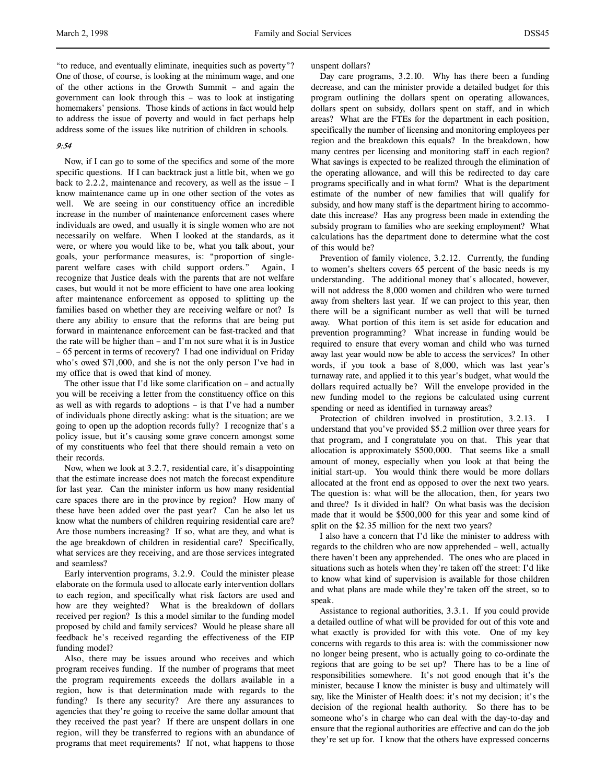"to reduce, and eventually eliminate, inequities such as poverty"? One of those, of course, is looking at the minimum wage, and one of the other actions in the Growth Summit – and again the government can look through this – was to look at instigating homemakers' pensions. Those kinds of actions in fact would help to address the issue of poverty and would in fact perhaps help address some of the issues like nutrition of children in schools.

# 9:54

Now, if I can go to some of the specifics and some of the more specific questions. If I can backtrack just a little bit, when we go back to 2.2.2, maintenance and recovery, as well as the issue – I know maintenance came up in one other section of the votes as well. We are seeing in our constituency office an incredible increase in the number of maintenance enforcement cases where individuals are owed, and usually it is single women who are not necessarily on welfare. When I looked at the standards, as it were, or where you would like to be, what you talk about, your goals, your performance measures, is: "proportion of singleparent welfare cases with child support orders." Again, I recognize that Justice deals with the parents that are not welfare cases, but would it not be more efficient to have one area looking after maintenance enforcement as opposed to splitting up the families based on whether they are receiving welfare or not? Is there any ability to ensure that the reforms that are being put forward in maintenance enforcement can be fast-tracked and that the rate will be higher than – and I'm not sure what it is in Justice – 65 percent in terms of recovery? I had one individual on Friday who's owed \$71,000, and she is not the only person I've had in my office that is owed that kind of money.

The other issue that I'd like some clarification on – and actually you will be receiving a letter from the constituency office on this as well as with regards to adoptions – is that I've had a number of individuals phone directly asking: what is the situation; are we going to open up the adoption records fully? I recognize that's a policy issue, but it's causing some grave concern amongst some of my constituents who feel that there should remain a veto on their records.

Now, when we look at 3.2.7, residential care, it's disappointing that the estimate increase does not match the forecast expenditure for last year. Can the minister inform us how many residential care spaces there are in the province by region? How many of these have been added over the past year? Can he also let us know what the numbers of children requiring residential care are? Are those numbers increasing? If so, what are they, and what is the age breakdown of children in residential care? Specifically, what services are they receiving, and are those services integrated and seamless?

Early intervention programs, 3.2.9. Could the minister please elaborate on the formula used to allocate early intervention dollars to each region, and specifically what risk factors are used and how are they weighted? What is the breakdown of dollars received per region? Is this a model similar to the funding model proposed by child and family services? Would he please share all feedback he's received regarding the effectiveness of the EIP funding model?

Also, there may be issues around who receives and which program receives funding. If the number of programs that meet the program requirements exceeds the dollars available in a region, how is that determination made with regards to the funding? Is there any security? Are there any assurances to agencies that they're going to receive the same dollar amount that they received the past year? If there are unspent dollars in one region, will they be transferred to regions with an abundance of programs that meet requirements? If not, what happens to those

unspent dollars?

Day care programs, 3.2.10. Why has there been a funding decrease, and can the minister provide a detailed budget for this program outlining the dollars spent on operating allowances, dollars spent on subsidy, dollars spent on staff, and in which areas? What are the FTEs for the department in each position, specifically the number of licensing and monitoring employees per region and the breakdown this equals? In the breakdown, how many centres per licensing and monitoring staff in each region? What savings is expected to be realized through the elimination of the operating allowance, and will this be redirected to day care programs specifically and in what form? What is the department estimate of the number of new families that will qualify for subsidy, and how many staff is the department hiring to accommodate this increase? Has any progress been made in extending the subsidy program to families who are seeking employment? What calculations has the department done to determine what the cost of this would be?

Prevention of family violence, 3.2.12. Currently, the funding to women's shelters covers 65 percent of the basic needs is my understanding. The additional money that's allocated, however, will not address the 8,000 women and children who were turned away from shelters last year. If we can project to this year, then there will be a significant number as well that will be turned away. What portion of this item is set aside for education and prevention programming? What increase in funding would be required to ensure that every woman and child who was turned away last year would now be able to access the services? In other words, if you took a base of 8,000, which was last year's turnaway rate, and applied it to this year's budget, what would the dollars required actually be? Will the envelope provided in the new funding model to the regions be calculated using current spending or need as identified in turnaway areas?

Protection of children involved in prostitution, 3.2.13. I understand that you've provided \$5.2 million over three years for that program, and I congratulate you on that. This year that allocation is approximately \$500,000. That seems like a small amount of money, especially when you look at that being the initial start-up. You would think there would be more dollars allocated at the front end as opposed to over the next two years. The question is: what will be the allocation, then, for years two and three? Is it divided in half? On what basis was the decision made that it would be \$500,000 for this year and some kind of split on the \$2.35 million for the next two years?

I also have a concern that I'd like the minister to address with regards to the children who are now apprehended – well, actually there haven't been any apprehended. The ones who are placed in situations such as hotels when they're taken off the street: I'd like to know what kind of supervision is available for those children and what plans are made while they're taken off the street, so to speak.

Assistance to regional authorities, 3.3.1. If you could provide a detailed outline of what will be provided for out of this vote and what exactly is provided for with this vote. One of my key concerns with regards to this area is: with the commissioner now no longer being present, who is actually going to co-ordinate the regions that are going to be set up? There has to be a line of responsibilities somewhere. It's not good enough that it's the minister, because I know the minister is busy and ultimately will say, like the Minister of Health does: it's not my decision; it's the decision of the regional health authority. So there has to be someone who's in charge who can deal with the day-to-day and ensure that the regional authorities are effective and can do the job they're set up for. I know that the others have expressed concerns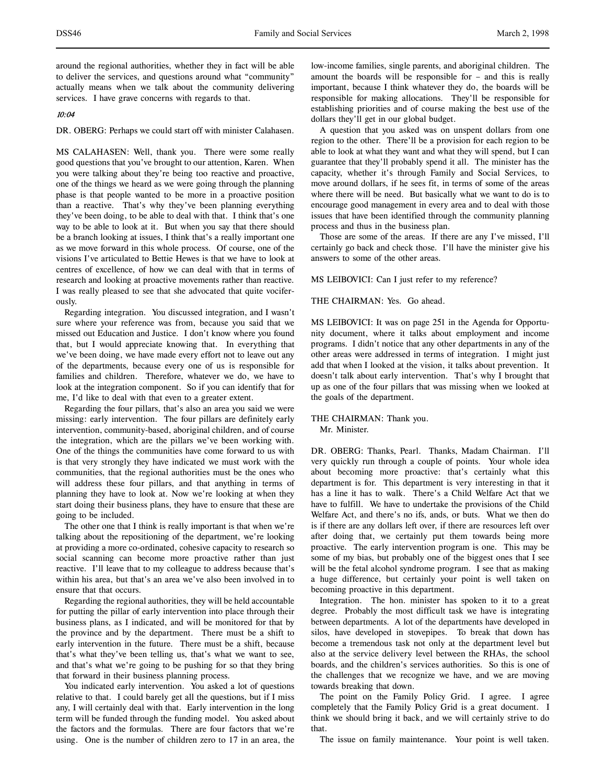around the regional authorities, whether they in fact will be able to deliver the services, and questions around what "community" actually means when we talk about the community delivering services. I have grave concerns with regards to that.

## 10:04

# DR. OBERG: Perhaps we could start off with minister Calahasen.

MS CALAHASEN: Well, thank you. There were some really good questions that you've brought to our attention, Karen. When you were talking about they're being too reactive and proactive, one of the things we heard as we were going through the planning phase is that people wanted to be more in a proactive position than a reactive. That's why they've been planning everything they've been doing, to be able to deal with that. I think that's one way to be able to look at it. But when you say that there should be a branch looking at issues, I think that's a really important one as we move forward in this whole process. Of course, one of the visions I've articulated to Bettie Hewes is that we have to look at centres of excellence, of how we can deal with that in terms of research and looking at proactive movements rather than reactive. I was really pleased to see that she advocated that quite vociferously.

Regarding integration. You discussed integration, and I wasn't sure where your reference was from, because you said that we missed out Education and Justice. I don't know where you found that, but I would appreciate knowing that. In everything that we've been doing, we have made every effort not to leave out any of the departments, because every one of us is responsible for families and children. Therefore, whatever we do, we have to look at the integration component. So if you can identify that for me, I'd like to deal with that even to a greater extent.

Regarding the four pillars, that's also an area you said we were missing: early intervention. The four pillars are definitely early intervention, community-based, aboriginal children, and of course the integration, which are the pillars we've been working with. One of the things the communities have come forward to us with is that very strongly they have indicated we must work with the communities, that the regional authorities must be the ones who will address these four pillars, and that anything in terms of planning they have to look at. Now we're looking at when they start doing their business plans, they have to ensure that these are going to be included.

The other one that I think is really important is that when we're talking about the repositioning of the department, we're looking at providing a more co-ordinated, cohesive capacity to research so social scanning can become more proactive rather than just reactive. I'll leave that to my colleague to address because that's within his area, but that's an area we've also been involved in to ensure that that occurs.

Regarding the regional authorities, they will be held accountable for putting the pillar of early intervention into place through their business plans, as I indicated, and will be monitored for that by the province and by the department. There must be a shift to early intervention in the future. There must be a shift, because that's what they've been telling us, that's what we want to see, and that's what we're going to be pushing for so that they bring that forward in their business planning process.

You indicated early intervention. You asked a lot of questions relative to that. I could barely get all the questions, but if I miss any, I will certainly deal with that. Early intervention in the long term will be funded through the funding model. You asked about the factors and the formulas. There are four factors that we're using. One is the number of children zero to 17 in an area, the

low-income families, single parents, and aboriginal children. The amount the boards will be responsible for – and this is really important, because I think whatever they do, the boards will be responsible for making allocations. They'll be responsible for establishing priorities and of course making the best use of the dollars they'll get in our global budget.

A question that you asked was on unspent dollars from one region to the other. There'll be a provision for each region to be able to look at what they want and what they will spend, but I can guarantee that they'll probably spend it all. The minister has the capacity, whether it's through Family and Social Services, to move around dollars, if he sees fit, in terms of some of the areas where there will be need. But basically what we want to do is to encourage good management in every area and to deal with those issues that have been identified through the community planning process and thus in the business plan.

Those are some of the areas. If there are any I've missed, I'll certainly go back and check those. I'll have the minister give his answers to some of the other areas.

MS LEIBOVICI: Can I just refer to my reference?

# THE CHAIRMAN: Yes. Go ahead.

MS LEIBOVICI: It was on page 251 in the Agenda for Opportunity document, where it talks about employment and income programs. I didn't notice that any other departments in any of the other areas were addressed in terms of integration. I might just add that when I looked at the vision, it talks about prevention. It doesn't talk about early intervention. That's why I brought that up as one of the four pillars that was missing when we looked at the goals of the department.

# THE CHAIRMAN: Thank you.

Mr. Minister.

DR. OBERG: Thanks, Pearl. Thanks, Madam Chairman. I'll very quickly run through a couple of points. Your whole idea about becoming more proactive: that's certainly what this department is for. This department is very interesting in that it has a line it has to walk. There's a Child Welfare Act that we have to fulfill. We have to undertake the provisions of the Child Welfare Act, and there's no ifs, ands, or buts. What we then do is if there are any dollars left over, if there are resources left over after doing that, we certainly put them towards being more proactive. The early intervention program is one. This may be some of my bias, but probably one of the biggest ones that I see will be the fetal alcohol syndrome program. I see that as making a huge difference, but certainly your point is well taken on becoming proactive in this department.

Integration. The hon. minister has spoken to it to a great degree. Probably the most difficult task we have is integrating between departments. A lot of the departments have developed in silos, have developed in stovepipes. To break that down has become a tremendous task not only at the department level but also at the service delivery level between the RHAs, the school boards, and the children's services authorities. So this is one of the challenges that we recognize we have, and we are moving towards breaking that down.

The point on the Family Policy Grid. I agree. I agree completely that the Family Policy Grid is a great document. I think we should bring it back, and we will certainly strive to do that.

The issue on family maintenance. Your point is well taken.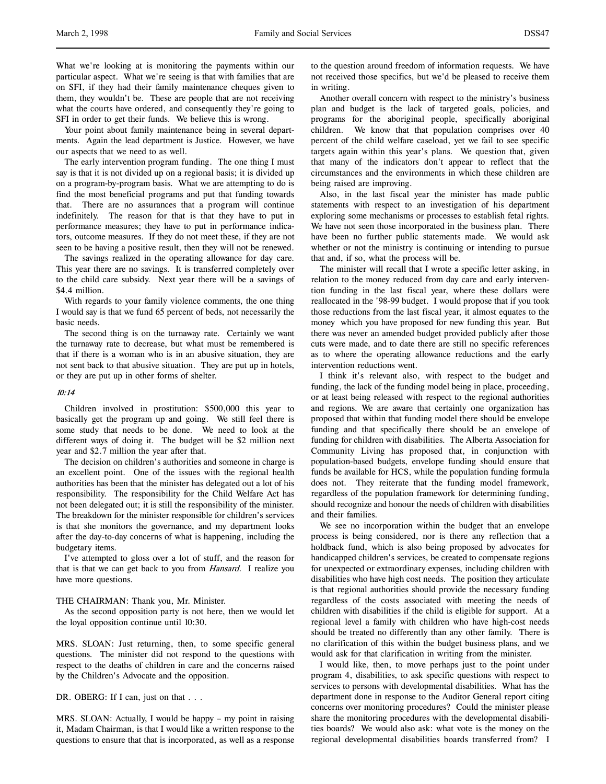What we're looking at is monitoring the payments within our particular aspect. What we're seeing is that with families that are on SFI, if they had their family maintenance cheques given to them, they wouldn't be. These are people that are not receiving what the courts have ordered, and consequently they're going to SFI in order to get their funds. We believe this is wrong.

Your point about family maintenance being in several departments. Again the lead department is Justice. However, we have our aspects that we need to as well.

The early intervention program funding. The one thing I must say is that it is not divided up on a regional basis; it is divided up on a program-by-program basis. What we are attempting to do is find the most beneficial programs and put that funding towards that. There are no assurances that a program will continue indefinitely. The reason for that is that they have to put in performance measures; they have to put in performance indicators, outcome measures. If they do not meet these, if they are not seen to be having a positive result, then they will not be renewed.

The savings realized in the operating allowance for day care. This year there are no savings. It is transferred completely over to the child care subsidy. Next year there will be a savings of \$4.4 million.

With regards to your family violence comments, the one thing I would say is that we fund 65 percent of beds, not necessarily the basic needs.

The second thing is on the turnaway rate. Certainly we want the turnaway rate to decrease, but what must be remembered is that if there is a woman who is in an abusive situation, they are not sent back to that abusive situation. They are put up in hotels, or they are put up in other forms of shelter.

# 10:14

Children involved in prostitution: \$500,000 this year to basically get the program up and going. We still feel there is some study that needs to be done. We need to look at the different ways of doing it. The budget will be \$2 million next year and \$2.7 million the year after that.

The decision on children's authorities and someone in charge is an excellent point. One of the issues with the regional health authorities has been that the minister has delegated out a lot of his responsibility. The responsibility for the Child Welfare Act has not been delegated out; it is still the responsibility of the minister. The breakdown for the minister responsible for children's services is that she monitors the governance, and my department looks after the day-to-day concerns of what is happening, including the budgetary items.

I've attempted to gloss over a lot of stuff, and the reason for that is that we can get back to you from *Hansard*. I realize you have more questions.

### THE CHAIRMAN: Thank you, Mr. Minister.

As the second opposition party is not here, then we would let the loyal opposition continue until 10:30.

MRS. SLOAN: Just returning, then, to some specific general questions. The minister did not respond to the questions with respect to the deaths of children in care and the concerns raised by the Children's Advocate and the opposition.

DR. OBERG: If I can, just on that . . .

MRS. SLOAN: Actually, I would be happy – my point in raising it, Madam Chairman, is that I would like a written response to the questions to ensure that that is incorporated, as well as a response to the question around freedom of information requests. We have not received those specifics, but we'd be pleased to receive them in writing.

Another overall concern with respect to the ministry's business plan and budget is the lack of targeted goals, policies, and programs for the aboriginal people, specifically aboriginal children. We know that that population comprises over 40 percent of the child welfare caseload, yet we fail to see specific targets again within this year's plans. We question that, given that many of the indicators don't appear to reflect that the circumstances and the environments in which these children are being raised are improving.

Also, in the last fiscal year the minister has made public statements with respect to an investigation of his department exploring some mechanisms or processes to establish fetal rights. We have not seen those incorporated in the business plan. There have been no further public statements made. We would ask whether or not the ministry is continuing or intending to pursue that and, if so, what the process will be.

The minister will recall that I wrote a specific letter asking, in relation to the money reduced from day care and early intervention funding in the last fiscal year, where these dollars were reallocated in the '98-99 budget. I would propose that if you took those reductions from the last fiscal year, it almost equates to the money which you have proposed for new funding this year. But there was never an amended budget provided publicly after those cuts were made, and to date there are still no specific references as to where the operating allowance reductions and the early intervention reductions went.

I think it's relevant also, with respect to the budget and funding, the lack of the funding model being in place, proceeding, or at least being released with respect to the regional authorities and regions. We are aware that certainly one organization has proposed that within that funding model there should be envelope funding and that specifically there should be an envelope of funding for children with disabilities. The Alberta Association for Community Living has proposed that, in conjunction with population-based budgets, envelope funding should ensure that funds be available for HCS, while the population funding formula does not. They reiterate that the funding model framework, regardless of the population framework for determining funding, should recognize and honour the needs of children with disabilities and their families.

We see no incorporation within the budget that an envelope process is being considered, nor is there any reflection that a holdback fund, which is also being proposed by advocates for handicapped children's services, be created to compensate regions for unexpected or extraordinary expenses, including children with disabilities who have high cost needs. The position they articulate is that regional authorities should provide the necessary funding regardless of the costs associated with meeting the needs of children with disabilities if the child is eligible for support. At a regional level a family with children who have high-cost needs should be treated no differently than any other family. There is no clarification of this within the budget business plans, and we would ask for that clarification in writing from the minister.

I would like, then, to move perhaps just to the point under program 4, disabilities, to ask specific questions with respect to services to persons with developmental disabilities. What has the department done in response to the Auditor General report citing concerns over monitoring procedures? Could the minister please share the monitoring procedures with the developmental disabilities boards? We would also ask: what vote is the money on the regional developmental disabilities boards transferred from? I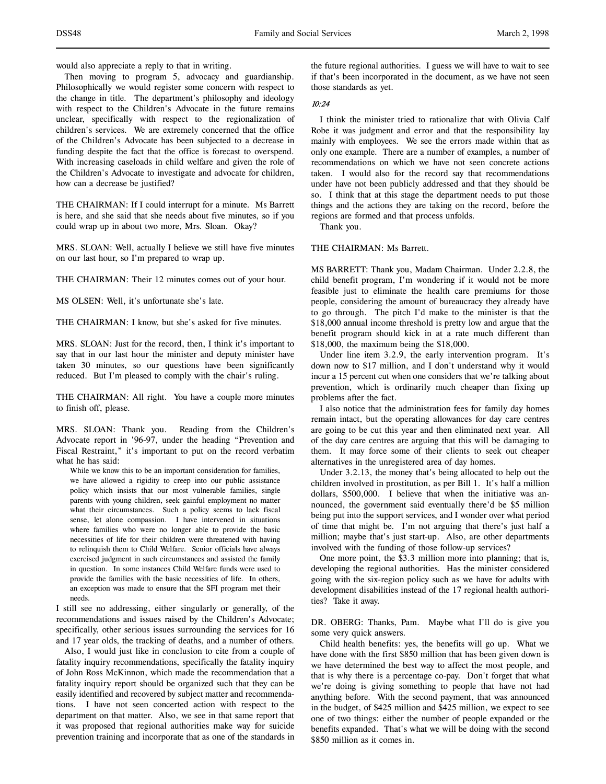would also appreciate a reply to that in writing.

Then moving to program 5, advocacy and guardianship. Philosophically we would register some concern with respect to the change in title. The department's philosophy and ideology with respect to the Children's Advocate in the future remains unclear, specifically with respect to the regionalization of children's services. We are extremely concerned that the office of the Children's Advocate has been subjected to a decrease in funding despite the fact that the office is forecast to overspend. With increasing caseloads in child welfare and given the role of the Children's Advocate to investigate and advocate for children, how can a decrease be justified?

THE CHAIRMAN: If I could interrupt for a minute. Ms Barrett is here, and she said that she needs about five minutes, so if you could wrap up in about two more, Mrs. Sloan. Okay?

MRS. SLOAN: Well, actually I believe we still have five minutes on our last hour, so I'm prepared to wrap up.

THE CHAIRMAN: Their 12 minutes comes out of your hour.

MS OLSEN: Well, it's unfortunate she's late.

THE CHAIRMAN: I know, but she's asked for five minutes.

MRS. SLOAN: Just for the record, then, I think it's important to say that in our last hour the minister and deputy minister have taken 30 minutes, so our questions have been significantly reduced. But I'm pleased to comply with the chair's ruling.

THE CHAIRMAN: All right. You have a couple more minutes to finish off, please.

MRS. SLOAN: Thank you. Reading from the Children's Advocate report in '96-97, under the heading "Prevention and Fiscal Restraint," it's important to put on the record verbatim what he has said:

While we know this to be an important consideration for families, we have allowed a rigidity to creep into our public assistance policy which insists that our most vulnerable families, single parents with young children, seek gainful employment no matter what their circumstances. Such a policy seems to lack fiscal sense, let alone compassion. I have intervened in situations where families who were no longer able to provide the basic necessities of life for their children were threatened with having to relinquish them to Child Welfare. Senior officials have always exercised judgment in such circumstances and assisted the family in question. In some instances Child Welfare funds were used to provide the families with the basic necessities of life. In others, an exception was made to ensure that the SFI program met their needs.

I still see no addressing, either singularly or generally, of the recommendations and issues raised by the Children's Advocate; specifically, other serious issues surrounding the services for 16 and 17 year olds, the tracking of deaths, and a number of others.

Also, I would just like in conclusion to cite from a couple of fatality inquiry recommendations, specifically the fatality inquiry of John Ross McKinnon, which made the recommendation that a fatality inquiry report should be organized such that they can be easily identified and recovered by subject matter and recommendations. I have not seen concerted action with respect to the department on that matter. Also, we see in that same report that it was proposed that regional authorities make way for suicide prevention training and incorporate that as one of the standards in the future regional authorities. I guess we will have to wait to see if that's been incorporated in the document, as we have not seen those standards as yet.

### 10:24

I think the minister tried to rationalize that with Olivia Calf Robe it was judgment and error and that the responsibility lay mainly with employees. We see the errors made within that as only one example. There are a number of examples, a number of recommendations on which we have not seen concrete actions taken. I would also for the record say that recommendations under have not been publicly addressed and that they should be so. I think that at this stage the department needs to put those things and the actions they are taking on the record, before the regions are formed and that process unfolds.

Thank you.

THE CHAIRMAN: Ms Barrett.

MS BARRETT: Thank you, Madam Chairman. Under 2.2.8, the child benefit program, I'm wondering if it would not be more feasible just to eliminate the health care premiums for those people, considering the amount of bureaucracy they already have to go through. The pitch I'd make to the minister is that the \$18,000 annual income threshold is pretty low and argue that the benefit program should kick in at a rate much different than \$18,000, the maximum being the \$18,000.

Under line item 3.2.9, the early intervention program. It's down now to \$17 million, and I don't understand why it would incur a 15 percent cut when one considers that we're talking about prevention, which is ordinarily much cheaper than fixing up problems after the fact.

I also notice that the administration fees for family day homes remain intact, but the operating allowances for day care centres are going to be cut this year and then eliminated next year. All of the day care centres are arguing that this will be damaging to them. It may force some of their clients to seek out cheaper alternatives in the unregistered area of day homes.

Under 3.2.13, the money that's being allocated to help out the children involved in prostitution, as per Bill 1. It's half a million dollars, \$500,000. I believe that when the initiative was announced, the government said eventually there'd be \$5 million being put into the support services, and I wonder over what period of time that might be. I'm not arguing that there's just half a million; maybe that's just start-up. Also, are other departments involved with the funding of those follow-up services?

One more point, the \$3.3 million more into planning; that is, developing the regional authorities. Has the minister considered going with the six-region policy such as we have for adults with development disabilities instead of the 17 regional health authorities? Take it away.

DR. OBERG: Thanks, Pam. Maybe what I'll do is give you some very quick answers.

Child health benefits: yes, the benefits will go up. What we have done with the first \$850 million that has been given down is we have determined the best way to affect the most people, and that is why there is a percentage co-pay. Don't forget that what we're doing is giving something to people that have not had anything before. With the second payment, that was announced in the budget, of \$425 million and \$425 million, we expect to see one of two things: either the number of people expanded or the benefits expanded. That's what we will be doing with the second \$850 million as it comes in.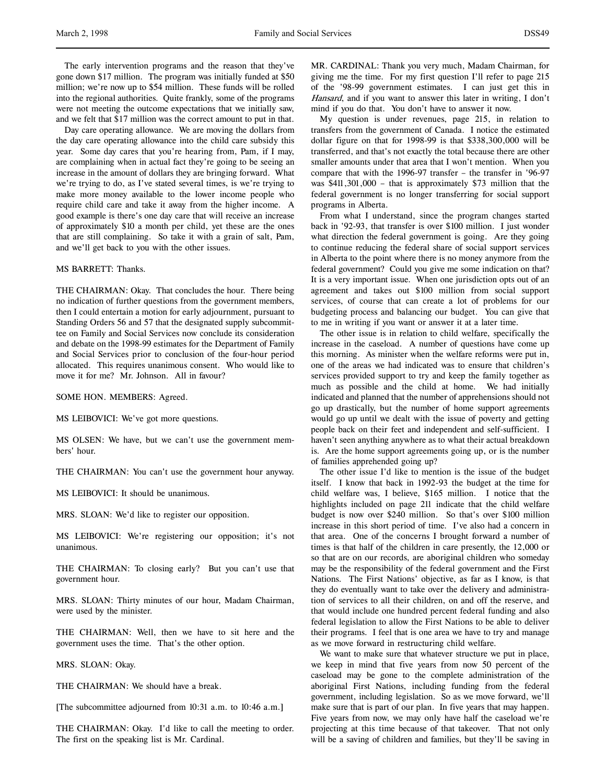The early intervention programs and the reason that they've gone down \$17 million. The program was initially funded at \$50 million; we're now up to \$54 million. These funds will be rolled into the regional authorities. Quite frankly, some of the programs were not meeting the outcome expectations that we initially saw, and we felt that \$17 million was the correct amount to put in that.

Day care operating allowance. We are moving the dollars from the day care operating allowance into the child care subsidy this year. Some day cares that you're hearing from, Pam, if I may, are complaining when in actual fact they're going to be seeing an increase in the amount of dollars they are bringing forward. What we're trying to do, as I've stated several times, is we're trying to make more money available to the lower income people who require child care and take it away from the higher income. A good example is there's one day care that will receive an increase of approximately \$10 a month per child, yet these are the ones that are still complaining. So take it with a grain of salt, Pam, and we'll get back to you with the other issues.

### MS BARRETT: Thanks.

THE CHAIRMAN: Okay. That concludes the hour. There being no indication of further questions from the government members, then I could entertain a motion for early adjournment, pursuant to Standing Orders 56 and 57 that the designated supply subcommittee on Family and Social Services now conclude its consideration and debate on the 1998-99 estimates for the Department of Family and Social Services prior to conclusion of the four-hour period allocated. This requires unanimous consent. Who would like to move it for me? Mr. Johnson. All in favour?

SOME HON. MEMBERS: Agreed.

MS LEIBOVICI: We've got more questions.

MS OLSEN: We have, but we can't use the government members' hour.

THE CHAIRMAN: You can't use the government hour anyway.

MS LEIBOVICI: It should be unanimous.

MRS. SLOAN: We'd like to register our opposition.

MS LEIBOVICI: We're registering our opposition; it's not unanimous.

THE CHAIRMAN: To closing early? But you can't use that government hour.

MRS. SLOAN: Thirty minutes of our hour, Madam Chairman, were used by the minister.

THE CHAIRMAN: Well, then we have to sit here and the government uses the time. That's the other option.

MRS. SLOAN: Okay.

THE CHAIRMAN: We should have a break.

[The subcommittee adjourned from 10:31 a.m. to 10:46 a.m.]

THE CHAIRMAN: Okay. I'd like to call the meeting to order. The first on the speaking list is Mr. Cardinal.

MR. CARDINAL: Thank you very much, Madam Chairman, for giving me the time. For my first question I'll refer to page 215 of the '98-99 government estimates. I can just get this in Hansard, and if you want to answer this later in writing, I don't mind if you do that. You don't have to answer it now.

My question is under revenues, page 215, in relation to transfers from the government of Canada. I notice the estimated dollar figure on that for 1998-99 is that \$338,300,000 will be transferred, and that's not exactly the total because there are other smaller amounts under that area that I won't mention. When you compare that with the 1996-97 transfer – the transfer in '96-97 was \$411,301,000 – that is approximately \$73 million that the federal government is no longer transferring for social support programs in Alberta.

From what I understand, since the program changes started back in '92-93, that transfer is over \$100 million. I just wonder what direction the federal government is going. Are they going to continue reducing the federal share of social support services in Alberta to the point where there is no money anymore from the federal government? Could you give me some indication on that? It is a very important issue. When one jurisdiction opts out of an agreement and takes out \$100 million from social support services, of course that can create a lot of problems for our budgeting process and balancing our budget. You can give that to me in writing if you want or answer it at a later time.

The other issue is in relation to child welfare, specifically the increase in the caseload. A number of questions have come up this morning. As minister when the welfare reforms were put in, one of the areas we had indicated was to ensure that children's services provided support to try and keep the family together as much as possible and the child at home. We had initially indicated and planned that the number of apprehensions should not go up drastically, but the number of home support agreements would go up until we dealt with the issue of poverty and getting people back on their feet and independent and self-sufficient. I haven't seen anything anywhere as to what their actual breakdown is. Are the home support agreements going up, or is the number of families apprehended going up?

The other issue I'd like to mention is the issue of the budget itself. I know that back in 1992-93 the budget at the time for child welfare was, I believe, \$165 million. I notice that the highlights included on page 211 indicate that the child welfare budget is now over \$240 million. So that's over \$100 million increase in this short period of time. I've also had a concern in that area. One of the concerns I brought forward a number of times is that half of the children in care presently, the 12,000 or so that are on our records, are aboriginal children who someday may be the responsibility of the federal government and the First Nations. The First Nations' objective, as far as I know, is that they do eventually want to take over the delivery and administration of services to all their children, on and off the reserve, and that would include one hundred percent federal funding and also federal legislation to allow the First Nations to be able to deliver their programs. I feel that is one area we have to try and manage as we move forward in restructuring child welfare.

We want to make sure that whatever structure we put in place, we keep in mind that five years from now 50 percent of the caseload may be gone to the complete administration of the aboriginal First Nations, including funding from the federal government, including legislation. So as we move forward, we'll make sure that is part of our plan. In five years that may happen. Five years from now, we may only have half the caseload we're projecting at this time because of that takeover. That not only will be a saving of children and families, but they'll be saving in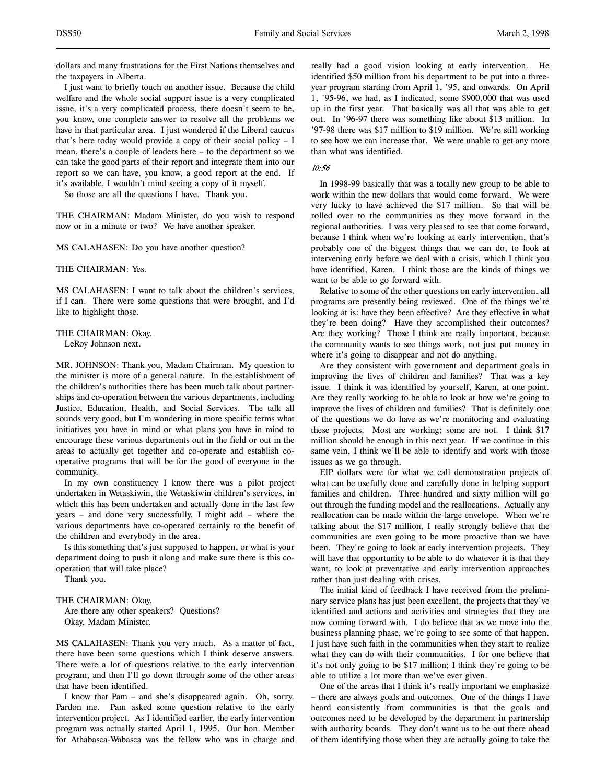dollars and many frustrations for the First Nations themselves and the taxpayers in Alberta.

I just want to briefly touch on another issue. Because the child welfare and the whole social support issue is a very complicated issue, it's a very complicated process, there doesn't seem to be, you know, one complete answer to resolve all the problems we have in that particular area. I just wondered if the Liberal caucus that's here today would provide a copy of their social policy – I mean, there's a couple of leaders here – to the department so we can take the good parts of their report and integrate them into our report so we can have, you know, a good report at the end. If it's available, I wouldn't mind seeing a copy of it myself.

So those are all the questions I have. Thank you.

THE CHAIRMAN: Madam Minister, do you wish to respond now or in a minute or two? We have another speaker.

MS CALAHASEN: Do you have another question?

THE CHAIRMAN: Yes.

MS CALAHASEN: I want to talk about the children's services, if I can. There were some questions that were brought, and I'd like to highlight those.

### THE CHAIRMAN: Okay.

LeRoy Johnson next.

MR. JOHNSON: Thank you, Madam Chairman. My question to the minister is more of a general nature. In the establishment of the children's authorities there has been much talk about partnerships and co-operation between the various departments, including Justice, Education, Health, and Social Services. The talk all sounds very good, but I'm wondering in more specific terms what initiatives you have in mind or what plans you have in mind to encourage these various departments out in the field or out in the areas to actually get together and co-operate and establish cooperative programs that will be for the good of everyone in the community.

In my own constituency I know there was a pilot project undertaken in Wetaskiwin, the Wetaskiwin children's services, in which this has been undertaken and actually done in the last few years – and done very successfully, I might add – where the various departments have co-operated certainly to the benefit of the children and everybody in the area.

Is this something that's just supposed to happen, or what is your department doing to push it along and make sure there is this cooperation that will take place?

Thank you.

# THE CHAIRMAN: Okay.

Are there any other speakers? Questions? Okay, Madam Minister.

MS CALAHASEN: Thank you very much. As a matter of fact, there have been some questions which I think deserve answers. There were a lot of questions relative to the early intervention program, and then I'll go down through some of the other areas that have been identified.

I know that Pam – and she's disappeared again. Oh, sorry. Pardon me. Pam asked some question relative to the early intervention project. As I identified earlier, the early intervention program was actually started April 1, 1995. Our hon. Member for Athabasca-Wabasca was the fellow who was in charge and really had a good vision looking at early intervention. He identified \$50 million from his department to be put into a threeyear program starting from April 1, '95, and onwards. On April 1, '95-96, we had, as I indicated, some \$900,000 that was used up in the first year. That basically was all that was able to get out. In '96-97 there was something like about \$13 million. In '97-98 there was \$17 million to \$19 million. We're still working to see how we can increase that. We were unable to get any more than what was identified.

### 10:56

In 1998-99 basically that was a totally new group to be able to work within the new dollars that would come forward. We were very lucky to have achieved the \$17 million. So that will be rolled over to the communities as they move forward in the regional authorities. I was very pleased to see that come forward, because I think when we're looking at early intervention, that's probably one of the biggest things that we can do, to look at intervening early before we deal with a crisis, which I think you have identified, Karen. I think those are the kinds of things we want to be able to go forward with.

Relative to some of the other questions on early intervention, all programs are presently being reviewed. One of the things we're looking at is: have they been effective? Are they effective in what they're been doing? Have they accomplished their outcomes? Are they working? Those I think are really important, because the community wants to see things work, not just put money in where it's going to disappear and not do anything.

Are they consistent with government and department goals in improving the lives of children and families? That was a key issue. I think it was identified by yourself, Karen, at one point. Are they really working to be able to look at how we're going to improve the lives of children and families? That is definitely one of the questions we do have as we're monitoring and evaluating these projects. Most are working; some are not. I think \$17 million should be enough in this next year. If we continue in this same vein, I think we'll be able to identify and work with those issues as we go through.

EIP dollars were for what we call demonstration projects of what can be usefully done and carefully done in helping support families and children. Three hundred and sixty million will go out through the funding model and the reallocations. Actually any reallocation can be made within the large envelope. When we're talking about the \$17 million, I really strongly believe that the communities are even going to be more proactive than we have been. They're going to look at early intervention projects. They will have that opportunity to be able to do whatever it is that they want, to look at preventative and early intervention approaches rather than just dealing with crises.

The initial kind of feedback I have received from the preliminary service plans has just been excellent, the projects that they've identified and actions and activities and strategies that they are now coming forward with. I do believe that as we move into the business planning phase, we're going to see some of that happen. I just have such faith in the communities when they start to realize what they can do with their communities. I for one believe that it's not only going to be \$17 million; I think they're going to be able to utilize a lot more than we've ever given.

One of the areas that I think it's really important we emphasize – there are always goals and outcomes. One of the things I have heard consistently from communities is that the goals and outcomes need to be developed by the department in partnership with authority boards. They don't want us to be out there ahead of them identifying those when they are actually going to take the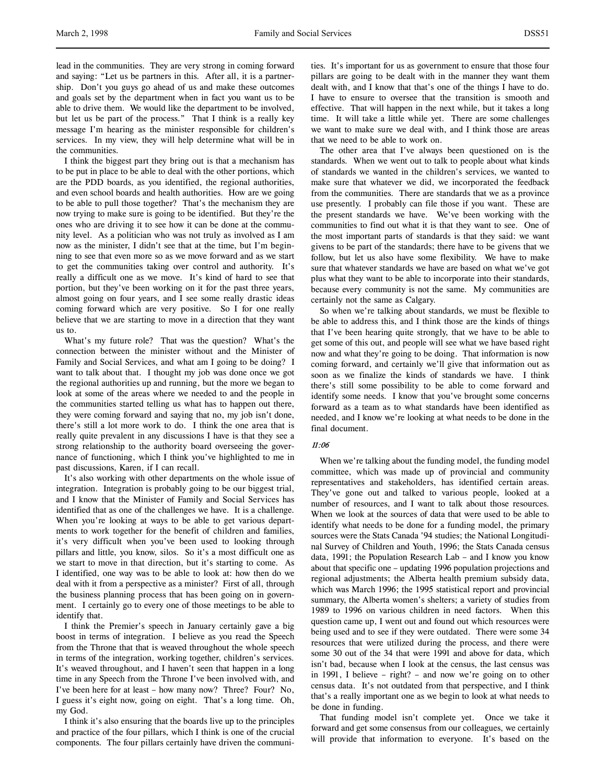lead in the communities. They are very strong in coming forward and saying: "Let us be partners in this. After all, it is a partnership. Don't you guys go ahead of us and make these outcomes and goals set by the department when in fact you want us to be able to drive them. We would like the department to be involved, but let us be part of the process." That I think is a really key message I'm hearing as the minister responsible for children's services. In my view, they will help determine what will be in the communities.

I think the biggest part they bring out is that a mechanism has to be put in place to be able to deal with the other portions, which are the PDD boards, as you identified, the regional authorities, and even school boards and health authorities. How are we going to be able to pull those together? That's the mechanism they are now trying to make sure is going to be identified. But they're the ones who are driving it to see how it can be done at the community level. As a politician who was not truly as involved as I am now as the minister, I didn't see that at the time, but I'm beginning to see that even more so as we move forward and as we start to get the communities taking over control and authority. It's really a difficult one as we move. It's kind of hard to see that portion, but they've been working on it for the past three years, almost going on four years, and I see some really drastic ideas coming forward which are very positive. So I for one really believe that we are starting to move in a direction that they want us to.

What's my future role? That was the question? What's the connection between the minister without and the Minister of Family and Social Services, and what am I going to be doing? I want to talk about that. I thought my job was done once we got the regional authorities up and running, but the more we began to look at some of the areas where we needed to and the people in the communities started telling us what has to happen out there, they were coming forward and saying that no, my job isn't done, there's still a lot more work to do. I think the one area that is really quite prevalent in any discussions I have is that they see a strong relationship to the authority board overseeing the governance of functioning, which I think you've highlighted to me in past discussions, Karen, if I can recall.

It's also working with other departments on the whole issue of integration. Integration is probably going to be our biggest trial, and I know that the Minister of Family and Social Services has identified that as one of the challenges we have. It is a challenge. When you're looking at ways to be able to get various departments to work together for the benefit of children and families, it's very difficult when you've been used to looking through pillars and little, you know, silos. So it's a most difficult one as we start to move in that direction, but it's starting to come. As I identified, one way was to be able to look at: how then do we deal with it from a perspective as a minister? First of all, through the business planning process that has been going on in government. I certainly go to every one of those meetings to be able to identify that.

I think the Premier's speech in January certainly gave a big boost in terms of integration. I believe as you read the Speech from the Throne that that is weaved throughout the whole speech in terms of the integration, working together, children's services. It's weaved throughout, and I haven't seen that happen in a long time in any Speech from the Throne I've been involved with, and I've been here for at least – how many now? Three? Four? No, I guess it's eight now, going on eight. That's a long time. Oh, my God.

I think it's also ensuring that the boards live up to the principles and practice of the four pillars, which I think is one of the crucial components. The four pillars certainly have driven the communities. It's important for us as government to ensure that those four pillars are going to be dealt with in the manner they want them dealt with, and I know that that's one of the things I have to do. I have to ensure to oversee that the transition is smooth and effective. That will happen in the next while, but it takes a long time. It will take a little while yet. There are some challenges we want to make sure we deal with, and I think those are areas that we need to be able to work on.

The other area that I've always been questioned on is the standards. When we went out to talk to people about what kinds of standards we wanted in the children's services, we wanted to make sure that whatever we did, we incorporated the feedback from the communities. There are standards that we as a province use presently. I probably can file those if you want. These are the present standards we have. We've been working with the communities to find out what it is that they want to see. One of the most important parts of standards is that they said: we want givens to be part of the standards; there have to be givens that we follow, but let us also have some flexibility. We have to make sure that whatever standards we have are based on what we've got plus what they want to be able to incorporate into their standards, because every community is not the same. My communities are certainly not the same as Calgary.

So when we're talking about standards, we must be flexible to be able to address this, and I think those are the kinds of things that I've been hearing quite strongly, that we have to be able to get some of this out, and people will see what we have based right now and what they're going to be doing. That information is now coming forward, and certainly we'll give that information out as soon as we finalize the kinds of standards we have. I think there's still some possibility to be able to come forward and identify some needs. I know that you've brought some concerns forward as a team as to what standards have been identified as needed, and I know we're looking at what needs to be done in the final document.

# 11:06

When we're talking about the funding model, the funding model committee, which was made up of provincial and community representatives and stakeholders, has identified certain areas. They've gone out and talked to various people, looked at a number of resources, and I want to talk about those resources. When we look at the sources of data that were used to be able to identify what needs to be done for a funding model, the primary sources were the Stats Canada '94 studies; the National Longitudinal Survey of Children and Youth, 1996; the Stats Canada census data, 1991; the Population Research Lab – and I know you know about that specific one – updating 1996 population projections and regional adjustments; the Alberta health premium subsidy data, which was March 1996; the 1995 statistical report and provincial summary, the Alberta women's shelters; a variety of studies from 1989 to 1996 on various children in need factors. When this question came up, I went out and found out which resources were being used and to see if they were outdated. There were some 34 resources that were utilized during the process, and there were some 30 out of the 34 that were 1991 and above for data, which isn't bad, because when I look at the census, the last census was in 1991, I believe – right? – and now we're going on to other census data. It's not outdated from that perspective, and I think that's a really important one as we begin to look at what needs to be done in funding.

That funding model isn't complete yet. Once we take it forward and get some consensus from our colleagues, we certainly will provide that information to everyone. It's based on the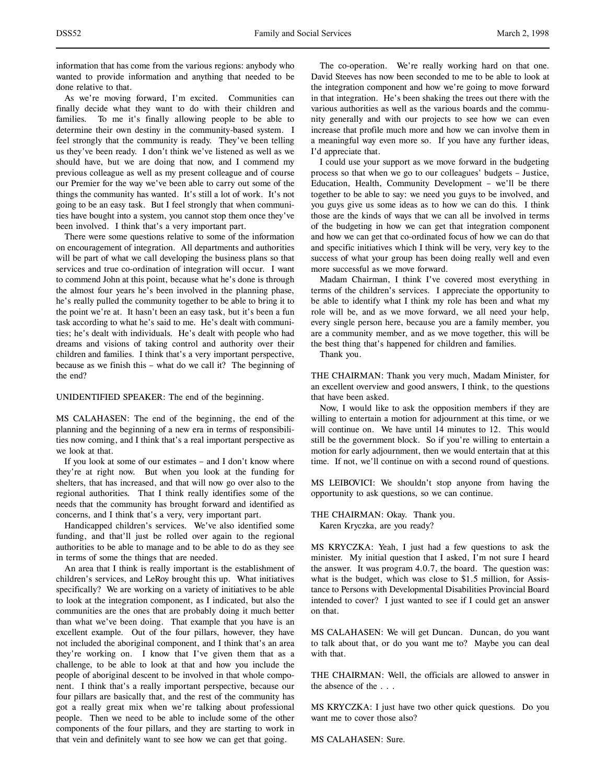information that has come from the various regions: anybody who wanted to provide information and anything that needed to be done relative to that.

As we're moving forward, I'm excited. Communities can finally decide what they want to do with their children and families. To me it's finally allowing people to be able to determine their own destiny in the community-based system. I feel strongly that the community is ready. They've been telling us they've been ready. I don't think we've listened as well as we should have, but we are doing that now, and I commend my previous colleague as well as my present colleague and of course our Premier for the way we've been able to carry out some of the things the community has wanted. It's still a lot of work. It's not going to be an easy task. But I feel strongly that when communities have bought into a system, you cannot stop them once they've been involved. I think that's a very important part.

There were some questions relative to some of the information on encouragement of integration. All departments and authorities will be part of what we call developing the business plans so that services and true co-ordination of integration will occur. I want to commend John at this point, because what he's done is through the almost four years he's been involved in the planning phase, he's really pulled the community together to be able to bring it to the point we're at. It hasn't been an easy task, but it's been a fun task according to what he's said to me. He's dealt with communities; he's dealt with individuals. He's dealt with people who had dreams and visions of taking control and authority over their children and families. I think that's a very important perspective, because as we finish this – what do we call it? The beginning of the end?

### UNIDENTIFIED SPEAKER: The end of the beginning.

MS CALAHASEN: The end of the beginning, the end of the planning and the beginning of a new era in terms of responsibilities now coming, and I think that's a real important perspective as we look at that.

If you look at some of our estimates – and I don't know where they're at right now. But when you look at the funding for shelters, that has increased, and that will now go over also to the regional authorities. That I think really identifies some of the needs that the community has brought forward and identified as concerns, and I think that's a very, very important part.

Handicapped children's services. We've also identified some funding, and that'll just be rolled over again to the regional authorities to be able to manage and to be able to do as they see in terms of some the things that are needed.

An area that I think is really important is the establishment of children's services, and LeRoy brought this up. What initiatives specifically? We are working on a variety of initiatives to be able to look at the integration component, as I indicated, but also the communities are the ones that are probably doing it much better than what we've been doing. That example that you have is an excellent example. Out of the four pillars, however, they have not included the aboriginal component, and I think that's an area they're working on. I know that I've given them that as a challenge, to be able to look at that and how you include the people of aboriginal descent to be involved in that whole component. I think that's a really important perspective, because our four pillars are basically that, and the rest of the community has got a really great mix when we're talking about professional people. Then we need to be able to include some of the other components of the four pillars, and they are starting to work in that vein and definitely want to see how we can get that going.

The co-operation. We're really working hard on that one. David Steeves has now been seconded to me to be able to look at the integration component and how we're going to move forward in that integration. He's been shaking the trees out there with the various authorities as well as the various boards and the community generally and with our projects to see how we can even increase that profile much more and how we can involve them in a meaningful way even more so. If you have any further ideas, I'd appreciate that.

I could use your support as we move forward in the budgeting process so that when we go to our colleagues' budgets – Justice, Education, Health, Community Development – we'll be there together to be able to say: we need you guys to be involved, and you guys give us some ideas as to how we can do this. I think those are the kinds of ways that we can all be involved in terms of the budgeting in how we can get that integration component and how we can get that co-ordinated focus of how we can do that and specific initiatives which I think will be very, very key to the success of what your group has been doing really well and even more successful as we move forward.

Madam Chairman, I think I've covered most everything in terms of the children's services. I appreciate the opportunity to be able to identify what I think my role has been and what my role will be, and as we move forward, we all need your help, every single person here, because you are a family member, you are a community member, and as we move together, this will be the best thing that's happened for children and families.

Thank you.

THE CHAIRMAN: Thank you very much, Madam Minister, for an excellent overview and good answers, I think, to the questions that have been asked.

Now, I would like to ask the opposition members if they are willing to entertain a motion for adjournment at this time, or we will continue on. We have until 14 minutes to 12. This would still be the government block. So if you're willing to entertain a motion for early adjournment, then we would entertain that at this time. If not, we'll continue on with a second round of questions.

MS LEIBOVICI: We shouldn't stop anyone from having the opportunity to ask questions, so we can continue.

THE CHAIRMAN: Okay. Thank you. Karen Kryczka, are you ready?

MS KRYCZKA: Yeah, I just had a few questions to ask the minister. My initial question that I asked, I'm not sure I heard the answer. It was program 4.0.7, the board. The question was: what is the budget, which was close to \$1.5 million, for Assistance to Persons with Developmental Disabilities Provincial Board intended to cover? I just wanted to see if I could get an answer on that.

MS CALAHASEN: We will get Duncan. Duncan, do you want to talk about that, or do you want me to? Maybe you can deal with that.

THE CHAIRMAN: Well, the officials are allowed to answer in the absence of the . . .

MS KRYCZKA: I just have two other quick questions. Do you want me to cover those also?

MS CALAHASEN: Sure.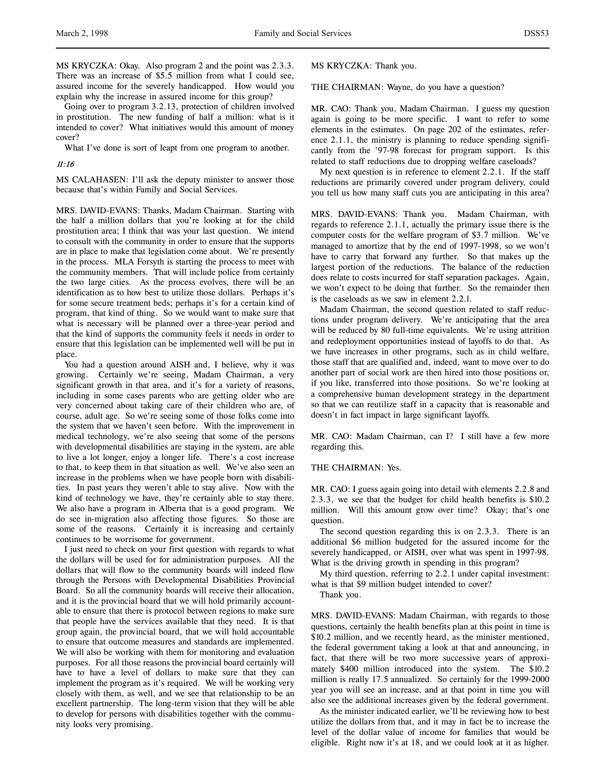MS KRYCZKA: Okay. Also program 2 and the point was 2.3.3. There was an increase of \$5.5 million from what I could see, assured income for the severely handicapped. How would you explain why the increase in assured income for this group?

Going over to program 3.2.13, protection of children involved in prostitution. The new funding of half a million: what is it intended to cover? What initiatives would this amount of money cover?

What I've done is sort of leapt from one program to another.

### 11:16

MS CALAHASEN: I'll ask the deputy minister to answer those because that's within Family and Social Services.

MRS. DAVID-EVANS: Thanks, Madam Chairman. Starting with the half a million dollars that you're looking at for the child prostitution area; I think that was your last question. We intend to consult with the community in order to ensure that the supports are in place to make that legislation come about. We're presently in the process. MLA Forsyth is starting the process to meet with the community members. That will include police from certainly the two large cities. As the process evolves, there will be an identification as to how best to utilize those dollars. Perhaps it's for some secure treatment beds; perhaps it's for a certain kind of program, that kind of thing. So we would want to make sure that what is necessary will be planned over a three-year period and that the kind of supports the community feels it needs in order to ensure that this legislation can be implemented well will be put in place.

You had a question around AISH and, I believe, why it was growing. Certainly we're seeing, Madam Chairman, a very significant growth in that area, and it's for a variety of reasons, including in some cases parents who are getting older who are very concerned about taking care of their children who are, of course, adult age. So we're seeing some of those folks come into the system that we haven't seen before. With the improvement in medical technology, we're also seeing that some of the persons with developmental disabilities are staying in the system, are able to live a lot longer, enjoy a longer life. There's a cost increase to that, to keep them in that situation as well. We've also seen an increase in the problems when we have people born with disabilities. In past years they weren't able to stay alive. Now with the kind of technology we have, they're certainly able to stay there. We also have a program in Alberta that is a good program. We do see in-migration also affecting those figures. So those are some of the reasons. Certainly it is increasing and certainly continues to be worrisome for government.

I just need to check on your first question with regards to what the dollars will be used for for administration purposes. All the dollars that will flow to the community boards will indeed flow through the Persons with Developmental Disabilities Provincial Board. So all the community boards will receive their allocation, and it is the provincial board that we will hold primarily accountable to ensure that there is protocol between regions to make sure that people have the services available that they need. It is that group again, the provincial board, that we will hold accountable to ensure that outcome measures and standards are implemented. We will also be working with them for monitoring and evaluation purposes. For all those reasons the provincial board certainly will have to have a level of dollars to make sure that they can implement the program as it's required. We will be working very closely with them, as well, and we see that relationship to be an excellent partnership. The long-term vision that they will be able to develop for persons with disabilities together with the community looks very promising.

MS KRYCZKA: Thank you.

THE CHAIRMAN: Wayne, do you have a question?

MR. CAO: Thank you, Madam Chairman. I guess my question again is going to be more specific. I want to refer to some elements in the estimates. On page 202 of the estimates, reference 2.1.1, the ministry is planning to reduce spending significantly from the '97-98 forecast for program support. Is this related to staff reductions due to dropping welfare caseloads?

My next question is in reference to element 2.2.1. If the staff reductions are primarily covered under program delivery, could you tell us how many staff cuts you are anticipating in this area?

MRS. DAVID-EVANS: Thank you. Madam Chairman, with regards to reference 2.1.1, actually the primary issue there is the computer costs for the welfare program of \$3.7 million. We've managed to amortize that by the end of 1997-1998, so we won't have to carry that forward any further. So that makes up the largest portion of the reductions. The balance of the reduction does relate to costs incurred for staff separation packages. Again, we won't expect to be doing that further. So the remainder then is the caseloads as we saw in element 2.2.l.

Madam Chairman, the second question related to staff reductions under program delivery. We're anticipating that the area will be reduced by 80 full-time equivalents. We're using attrition and redeployment opportunities instead of layoffs to do that. As we have increases in other programs, such as in child welfare, those staff that are qualified and, indeed, want to move over to do another part of social work are then hired into those positions or, if you like, transferred into those positions. So we're looking at a comprehensive human development strategy in the department so that we can reutilize staff in a capacity that is reasonable and doesn't in fact impact in large significant layoffs.

MR. CAO: Madam Chairman, can I? I still have a few more regarding this.

#### THE CHAIRMAN: Yes.

MR. CAO: I guess again going into detail with elements 2.2.8 and 2.3.3, we see that the budget for child health benefits is \$10.2 million. Will this amount grow over time? Okay; that's one question.

The second question regarding this is on 2.3.3. There is an additional \$6 million budgeted for the assured income for the severely handicapped, or AISH, over what was spent in 1997-98. What is the driving growth in spending in this program?

My third question, referring to 2.2.1 under capital investment: what is that \$9 million budget intended to cover?

Thank you.

MRS. DAVID-EVANS: Madam Chairman, with regards to those questions, certainly the health benefits plan at this point in time is \$10.2 million, and we recently heard, as the minister mentioned, the federal government taking a look at that and announcing, in fact, that there will be two more successive years of approximately \$400 million introduced into the system. The \$10.2 million is really 17.5 annualized. So certainly for the 1999-2000 year you will see an increase, and at that point in time you will also see the additional increases given by the federal government.

As the minister indicated earlier, we'll be reviewing how to best utilize the dollars from that, and it may in fact be to increase the level of the dollar value of income for families that would be eligible. Right now it's at 18, and we could look at it as higher.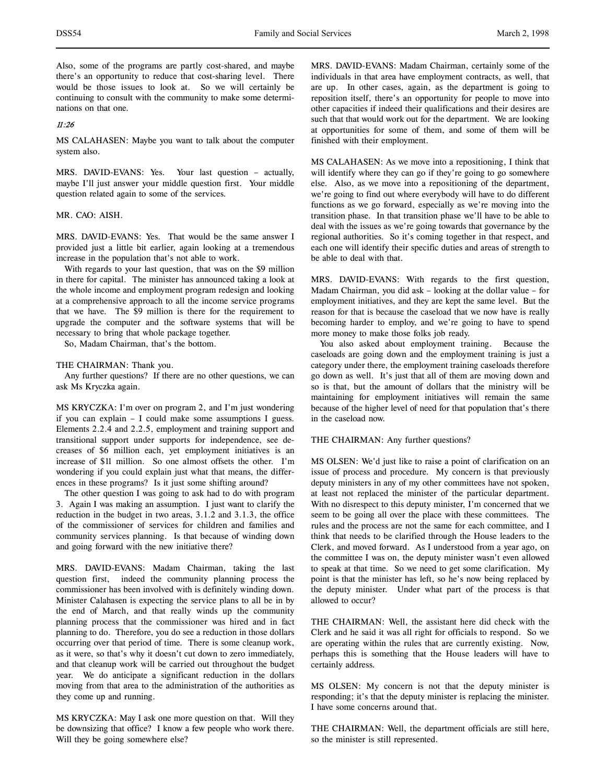Also, some of the programs are partly cost-shared, and maybe there's an opportunity to reduce that cost-sharing level. There would be those issues to look at. So we will certainly be continuing to consult with the community to make some determinations on that one.

# 11:26

MS CALAHASEN: Maybe you want to talk about the computer system also.

MRS. DAVID-EVANS: Yes. Your last question – actually, maybe I'll just answer your middle question first. Your middle question related again to some of the services.

## MR. CAO: AISH.

MRS. DAVID-EVANS: Yes. That would be the same answer I provided just a little bit earlier, again looking at a tremendous increase in the population that's not able to work.

With regards to your last question, that was on the \$9 million in there for capital. The minister has announced taking a look at the whole income and employment program redesign and looking at a comprehensive approach to all the income service programs that we have. The \$9 million is there for the requirement to upgrade the computer and the software systems that will be necessary to bring that whole package together.

So, Madam Chairman, that's the bottom.

### THE CHAIRMAN: Thank you.

Any further questions? If there are no other questions, we can ask Ms Kryczka again.

MS KRYCZKA: I'm over on program 2, and I'm just wondering if you can explain – I could make some assumptions I guess. Elements 2.2.4 and 2.2.5, employment and training support and transitional support under supports for independence, see decreases of \$6 million each, yet employment initiatives is an increase of \$11 million. So one almost offsets the other. I'm wondering if you could explain just what that means, the differences in these programs? Is it just some shifting around?

The other question I was going to ask had to do with program 3. Again I was making an assumption. I just want to clarify the reduction in the budget in two areas, 3.1.2 and 3.1.3, the office of the commissioner of services for children and families and community services planning. Is that because of winding down and going forward with the new initiative there?

MRS. DAVID-EVANS: Madam Chairman, taking the last question first, indeed the community planning process the commissioner has been involved with is definitely winding down. Minister Calahasen is expecting the service plans to all be in by the end of March, and that really winds up the community planning process that the commissioner was hired and in fact planning to do. Therefore, you do see a reduction in those dollars occurring over that period of time. There is some cleanup work, as it were, so that's why it doesn't cut down to zero immediately, and that cleanup work will be carried out throughout the budget year. We do anticipate a significant reduction in the dollars moving from that area to the administration of the authorities as they come up and running.

MS KRYCZKA: May I ask one more question on that. Will they be downsizing that office? I know a few people who work there. Will they be going somewhere else?

MRS. DAVID-EVANS: Madam Chairman, certainly some of the individuals in that area have employment contracts, as well, that are up. In other cases, again, as the department is going to reposition itself, there's an opportunity for people to move into other capacities if indeed their qualifications and their desires are such that that would work out for the department. We are looking at opportunities for some of them, and some of them will be finished with their employment.

MS CALAHASEN: As we move into a repositioning, I think that will identify where they can go if they're going to go somewhere else. Also, as we move into a repositioning of the department, we're going to find out where everybody will have to do different functions as we go forward, especially as we're moving into the transition phase. In that transition phase we'll have to be able to deal with the issues as we're going towards that governance by the regional authorities. So it's coming together in that respect, and each one will identify their specific duties and areas of strength to be able to deal with that.

MRS. DAVID-EVANS: With regards to the first question, Madam Chairman, you did ask – looking at the dollar value – for employment initiatives, and they are kept the same level. But the reason for that is because the caseload that we now have is really becoming harder to employ, and we're going to have to spend more money to make those folks job ready.

You also asked about employment training. Because the caseloads are going down and the employment training is just a category under there, the employment training caseloads therefore go down as well. It's just that all of them are moving down and so is that, but the amount of dollars that the ministry will be maintaining for employment initiatives will remain the same because of the higher level of need for that population that's there in the caseload now.

### THE CHAIRMAN: Any further questions?

MS OLSEN: We'd just like to raise a point of clarification on an issue of process and procedure. My concern is that previously deputy ministers in any of my other committees have not spoken, at least not replaced the minister of the particular department. With no disrespect to this deputy minister, I'm concerned that we seem to be going all over the place with these committees. The rules and the process are not the same for each committee, and I think that needs to be clarified through the House leaders to the Clerk, and moved forward. As I understood from a year ago, on the committee I was on, the deputy minister wasn't even allowed to speak at that time. So we need to get some clarification. My point is that the minister has left, so he's now being replaced by the deputy minister. Under what part of the process is that allowed to occur?

THE CHAIRMAN: Well, the assistant here did check with the Clerk and he said it was all right for officials to respond. So we are operating within the rules that are currently existing. Now, perhaps this is something that the House leaders will have to certainly address.

MS OLSEN: My concern is not that the deputy minister is responding; it's that the deputy minister is replacing the minister. I have some concerns around that.

THE CHAIRMAN: Well, the department officials are still here, so the minister is still represented.